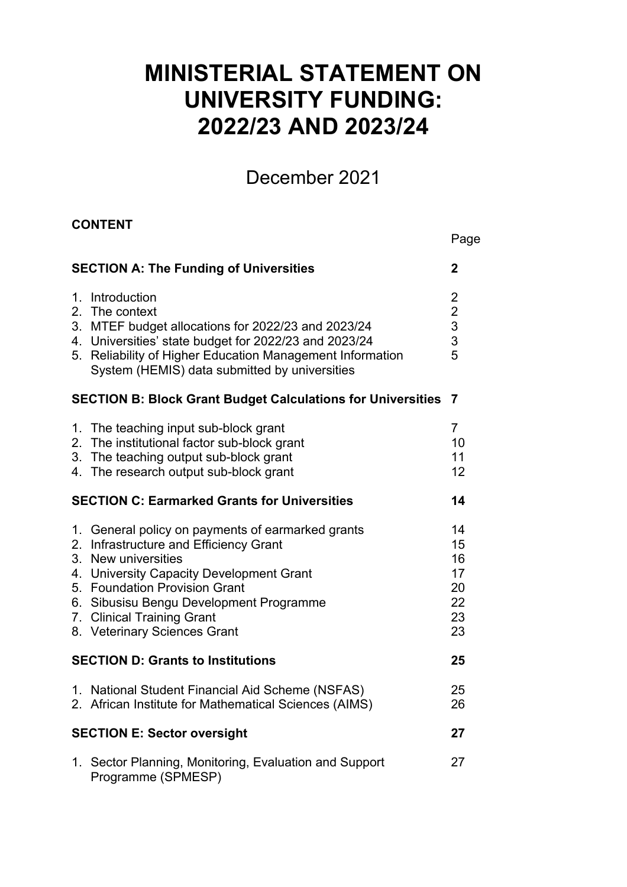# **MINISTERIAL STATEMENT ON UNIVERSITY FUNDING: 2022/23 AND 2023/24**

## December 2021

Page

#### **CONTENT**

|               | <b>SECTION A: The Funding of Universities</b>                                                                                                                                                                                                                                                      | 2                                                                 |
|---------------|----------------------------------------------------------------------------------------------------------------------------------------------------------------------------------------------------------------------------------------------------------------------------------------------------|-------------------------------------------------------------------|
| 2.            | 1. Introduction<br>The context<br>3. MTEF budget allocations for 2022/23 and 2023/24<br>4. Universities' state budget for 2022/23 and 2023/24<br>5. Reliability of Higher Education Management Information<br>System (HEMIS) data submitted by universities                                        | $\overline{c}$<br>$\begin{array}{c} 2 \\ 3 \\ 3 \end{array}$<br>5 |
|               | <b>SECTION B: Block Grant Budget Calculations for Universities</b>                                                                                                                                                                                                                                 | $\overline{7}$                                                    |
| 2.            | 1. The teaching input sub-block grant<br>The institutional factor sub-block grant<br>3. The teaching output sub-block grant<br>4. The research output sub-block grant                                                                                                                              | $\overline{7}$<br>10<br>11<br>12                                  |
|               | <b>SECTION C: Earmarked Grants for Universities</b>                                                                                                                                                                                                                                                | 14                                                                |
| 2.<br>$3_{-}$ | 1. General policy on payments of earmarked grants<br>Infrastructure and Efficiency Grant<br>New universities<br>4. University Capacity Development Grant<br>5. Foundation Provision Grant<br>6. Sibusisu Bengu Development Programme<br>7. Clinical Training Grant<br>8. Veterinary Sciences Grant | 14<br>15<br>16<br>17<br>20<br>22<br>23<br>23                      |
|               | <b>SECTION D: Grants to Institutions</b>                                                                                                                                                                                                                                                           | 25                                                                |
|               | 1. National Student Financial Aid Scheme (NSFAS)<br>2. African Institute for Mathematical Sciences (AIMS)                                                                                                                                                                                          | 25<br>26                                                          |
|               | <b>SECTION E: Sector oversight</b>                                                                                                                                                                                                                                                                 | 27                                                                |
|               | 1. Sector Planning, Monitoring, Evaluation and Support<br>Programme (SPMESP)                                                                                                                                                                                                                       | 27                                                                |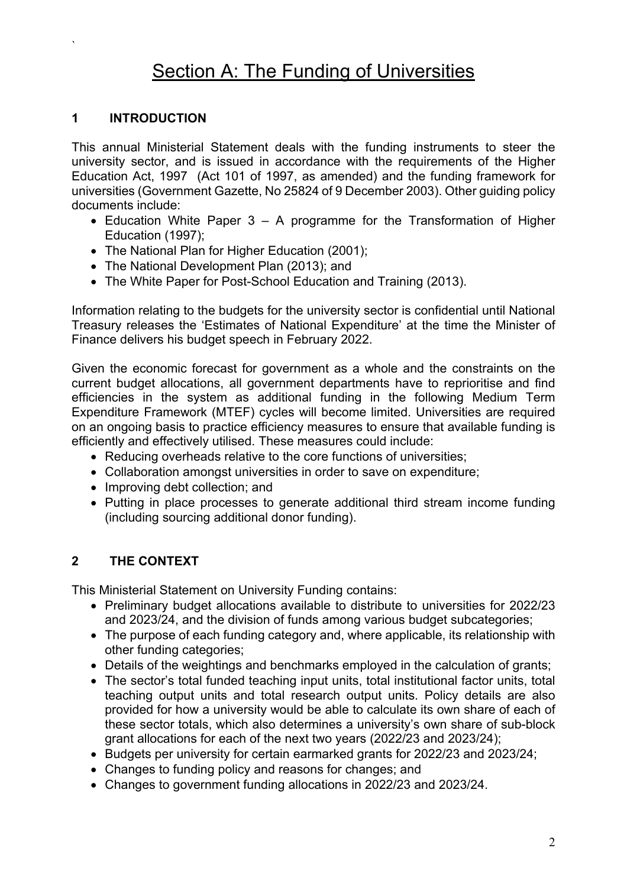## **Section A: The Funding of Universities**

#### **1 INTRODUCTION**

`

This annual Ministerial Statement deals with the funding instruments to steer the university sector, and is issued in accordance with the requirements of the Higher Education Act, 1997 (Act 101 of 1997, as amended) and the funding framework for universities (Government Gazette, No 25824 of 9 December 2003). Other guiding policy documents include:

- Education White Paper  $3 A$  programme for the Transformation of Higher Education (1997);
- The National Plan for Higher Education (2001);
- The National Development Plan (2013): and
- The White Paper for Post-School Education and Training (2013).

Information relating to the budgets for the university sector is confidential until National Treasury releases the 'Estimates of National Expenditure' at the time the Minister of Finance delivers his budget speech in February 2022.

Given the economic forecast for government as a whole and the constraints on the current budget allocations, all government departments have to reprioritise and find efficiencies in the system as additional funding in the following Medium Term Expenditure Framework (MTEF) cycles will become limited. Universities are required on an ongoing basis to practice efficiency measures to ensure that available funding is efficiently and effectively utilised. These measures could include:

- Reducing overheads relative to the core functions of universities;
- Collaboration amongst universities in order to save on expenditure;
- Improving debt collection; and
- Putting in place processes to generate additional third stream income funding (including sourcing additional donor funding).

#### **2 THE CONTEXT**

This Ministerial Statement on University Funding contains:

- Preliminary budget allocations available to distribute to universities for 2022/23 and 2023/24, and the division of funds among various budget subcategories;
- The purpose of each funding category and, where applicable, its relationship with other funding categories;
- Details of the weightings and benchmarks employed in the calculation of grants;
- The sector's total funded teaching input units, total institutional factor units, total teaching output units and total research output units. Policy details are also provided for how a university would be able to calculate its own share of each of these sector totals, which also determines a university's own share of sub-block grant allocations for each of the next two years (2022/23 and 2023/24);
- Budgets per university for certain earmarked grants for 2022/23 and 2023/24;
- Changes to funding policy and reasons for changes; and
- Changes to government funding allocations in 2022/23 and 2023/24.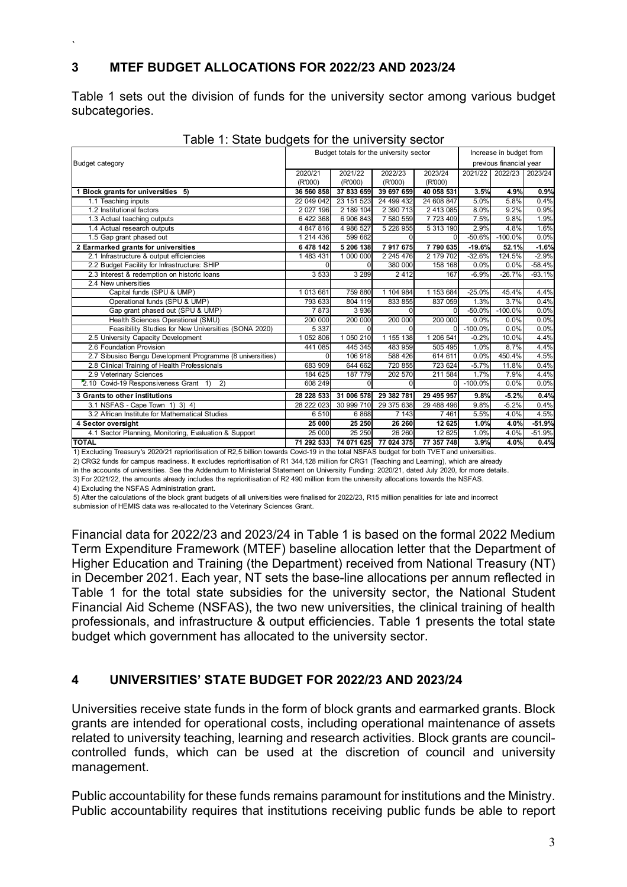#### **3 MTEF BUDGET ALLOCATIONS FOR 2022/23 AND 2023/24**

Table 1 sets out the division of funds for the university sector among various budget subcategories.

| rable i. Oldio baagolo ior the annouble, bootor<br>Budget totals for the university sector |            |            |            |                         |           |                         |          |
|--------------------------------------------------------------------------------------------|------------|------------|------------|-------------------------|-----------|-------------------------|----------|
|                                                                                            |            |            |            | Increase in budget from |           |                         |          |
| <b>Budget category</b>                                                                     |            |            |            |                         |           | previous financial year |          |
|                                                                                            | 2020/21    | 2021/22    | 2022/23    | 2023/24                 | 2021/22   | 2022/23                 | 2023/24  |
|                                                                                            | (R'000)    | (R'000)    | (R'000)    | (R'000)                 |           |                         |          |
| Block grants for universities 5)                                                           | 36 560 858 | 37 833 659 | 39 697 659 | 40 058 531              | 3.5%      | 4.9%                    | 0.9%     |
| 1.1 Teaching inputs                                                                        | 22 049 042 | 23 151 523 | 24 499 432 | 24 608 847              | 5.0%      | 5.8%                    | 0.4%     |
| 1.2 Institutional factors                                                                  | 2 027 196  | 2 189 104  | 2 390 713  | 2 413 085               | 8.0%      | 9.2%                    | 0.9%     |
| 1.3 Actual teaching outputs                                                                | 6 422 368  | 6 906 843  | 7 580 559  | 7723409                 | 7.5%      | 9.8%                    | 1.9%     |
| 1.4 Actual research outputs                                                                | 4 847 816  | 4 986 527  | 5 226 955  | 5 313 190               | 2.9%      | 4.8%                    | 1.6%     |
| 1.5 Gap grant phased out                                                                   | 1 214 436  | 599 662    |            |                         | $-50.6%$  | $-100.0%$               | 0.0%     |
| 2 Earmarked grants for universities                                                        | 6 478 142  | 5 206 138  | 7917675    | 7790635                 | $-19.6%$  | 52.1%                   | $-1.6%$  |
| 2.1 Infrastructure & output efficiencies                                                   | 1 483 431  | 1 000 000  | 2 245 476  | 2 179 702               | $-32.6%$  | 124.5%                  | $-2.9%$  |
| 2.2 Budget Facility for Infrastructure: SHIP                                               |            |            | 380 000    | 158 168                 | 0.0%      | 0.0%                    | $-58.4%$ |
| 2.3 Interest & redemption on historic loans                                                | 3 5 3 3    | 3 2 8 9    | 2412       | 167                     | $-6.9%$   | $-26.7%$                | $-93.1%$ |
| 2.4 New universities                                                                       |            |            |            |                         |           |                         |          |
| Capital funds (SPU & UMP)                                                                  | 1 013 661  | 759 880    | 1 104 984  | 1 153 684               | $-25.0%$  | 45.4%                   | 4.4%     |
| Operational funds (SPU & UMP)                                                              | 793 633    | 804 119    | 833 855    | 837 059                 | 1.3%      | 3.7%                    | 0.4%     |
| Gap grant phased out (SPU & UMP)                                                           | 7873       | 3 9 3 6    |            | $\Omega$                | $-50.0%$  | $-100.0%$               | 0.0%     |
| Health Sciences Operational (SMU)                                                          | 200 000    | 200 000    | 200 000    | 200 000                 | 0.0%      | 0.0%                    | 0.0%     |
| Feasibility Studies for New Universities (SONA 2020)                                       | 5 3 3 7    |            |            | $\Omega$                | $-100.0%$ | 0.0%                    | 0.0%     |
| 2.5 University Capacity Development                                                        | 1 052 806  | 1 050 210  | 1 155 138  | 1 206 541               | $-0.2%$   | 10.0%                   | 4.4%     |
| 2.6 Foundation Provision                                                                   | 441 085    | 445 345    | 483 959    | 505 495                 | 1.0%      | 8.7%                    | 4.4%     |
| 2.7 Sibusiso Bengu Development Programme (8 universities)                                  |            | 106 918    | 588 426    | 614 611                 | 0.0%      | 450.4%                  | 4.5%     |
| 2.8 Clinical Training of Health Professionals                                              | 683 909    | 644 662    | 720 855    | 723 624                 | $-5.7%$   | 11.8%                   | 0.4%     |
| 2.9 Veterinary Sciences                                                                    | 184 625    | 187 779    | 202 570    | 211 584                 | 1.7%      | 7.9%                    | 4.4%     |
| 2.10 Covid-19 Responsiveness Grant 1)<br>2)                                                | 608 249    |            | U          | $\Omega$                | $-100.0%$ | 0.0%                    | 0.0%     |
| 3 Grants to other institutions                                                             | 28 228 533 | 31 006 578 | 29 382 781 | 29 495 957              | 9.8%      | $-5.2%$                 | 0.4%     |
| 3.1 NSFAS - Cape Town 1) 3) 4)                                                             | 28 222 023 | 30 999 710 | 29 375 638 | 29 488 496              | 9.8%      | $-5.2%$                 | 0.4%     |
| 3.2 African Institute for Mathematical Studies                                             | 6510       | 6868       | 7 1 4 3    | 7461                    | 5.5%      | 4.0%                    | 4.5%     |
| 4 Sector oversight                                                                         | 25 000     | 25 250     | 26 260     | 12 625                  | 1.0%      | 4.0%                    | $-51.9%$ |
| 4.1 Sector Planning, Monitoring, Evaluation & Support                                      | 25 000     | 25 250     | 26 260     | 12 6 25                 | 1.0%      | 4.0%                    | $-51.9%$ |
| <b>TOTAL</b>                                                                               | 71 292 533 | 74 071 625 | 77 024 375 | 77 357 748              | 3.9%      | 4.0%                    | 0.4%     |

| Table 1: State budgets for the university sector |  |  |
|--------------------------------------------------|--|--|
|                                                  |  |  |

1) Excluding Treasury's 2020/21 reprioritisation of R2,5 billion towards Covid-19 in the total NSFAS budget for both TVET and universities.

2) CRG2 funds for campus readiness. It excludes reprioritisation of R1 344,128 million for CRG1 (Teaching and Learning), which are already in the accounts of universities. See the Addendum to Ministerial Statement on University Funding: 2020/21, dated July 2020, for more details.

3) For 2021/22, the amounts already includes the reprioritisation of R2 490 million from the university allocations towards the NSFAS.

4) Excluding the NSFAS Administration grant.

`

5) After the calculations of the block grant budgets of all universities were finalised for 2022/23, R15 million penalities for late and incorrect submission of HEMIS data was re-allocated to the Veterinary Sciences Grant.

Financial data for 2022/23 and 2023/24 in Table 1 is based on the formal 2022 Medium Term Expenditure Framework (MTEF) baseline allocation letter that the Department of Higher Education and Training (the Department) received from National Treasury (NT) in December 2021. Each year, NT sets the base-line allocations per annum reflected in Table 1 for the total state subsidies for the university sector, the National Student Financial Aid Scheme (NSFAS), the two new universities, the clinical training of health professionals, and infrastructure & output efficiencies. Table 1 presents the total state budget which government has allocated to the university sector.

#### **4 UNIVERSITIES' STATE BUDGET FOR 2022/23 AND 2023/24**

Universities receive state funds in the form of block grants and earmarked grants. Block grants are intended for operational costs, including operational maintenance of assets related to university teaching, learning and research activities. Block grants are councilcontrolled funds, which can be used at the discretion of council and university management.

Public accountability for these funds remains paramount for institutions and the Ministry. Public accountability requires that institutions receiving public funds be able to report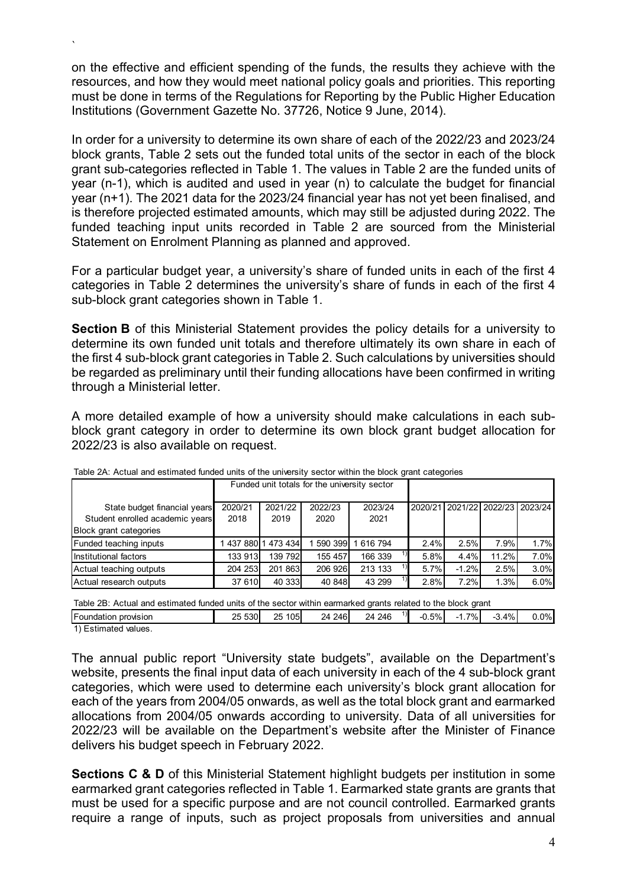on the effective and efficient spending of the funds, the results they achieve with the resources, and how they would meet national policy goals and priorities. This reporting must be done in terms of the Regulations for Reporting by the Public Higher Education Institutions (Government Gazette No. 37726, Notice 9 June, 2014).

In order for a university to determine its own share of each of the 2022/23 and 2023/24 block grants, Table 2 sets out the funded total units of the sector in each of the block grant sub-categories reflected in Table 1. The values in Table 2 are the funded units of year (n-1), which is audited and used in year (n) to calculate the budget for financial year (n+1). The 2021 data for the 2023/24 financial year has not yet been finalised, and is therefore projected estimated amounts, which may still be adjusted during 2022. The funded teaching input units recorded in Table 2 are sourced from the Ministerial Statement on Enrolment Planning as planned and approved.

For a particular budget year, a university's share of funded units in each of the first 4 categories in Table 2 determines the university's share of funds in each of the first 4 sub-block grant categories shown in Table 1.

**Section B** of this Ministerial Statement provides the policy details for a university to determine its own funded unit totals and therefore ultimately its own share in each of the first 4 sub-block grant categories in Table 2. Such calculations by universities should be regarded as preliminary until their funding allocations have been confirmed in writing through a Ministerial letter.

A more detailed example of how a university should make calculations in each subblock grant category in order to determine its own block grant budget allocation for 2022/23 is also available on request.

| Table 2A. Actual and estimated idition dilits of the diliversity sector within the block grant categories |                                              |         |         |         |      |         |                                 |      |  |
|-----------------------------------------------------------------------------------------------------------|----------------------------------------------|---------|---------|---------|------|---------|---------------------------------|------|--|
|                                                                                                           | Funded unit totals for the university sector |         |         |         |      |         |                                 |      |  |
| State budget financial years                                                                              | 2020/21                                      | 2021/22 | 2022/23 | 2023/24 |      |         | 2020/21 2021/22 2022/23 2023/24 |      |  |
| Student enrolled academic years                                                                           | 2018                                         | 2019    | 2020    | 2021    |      |         |                                 |      |  |
| <b>Block grant categories</b>                                                                             |                                              |         |         |         |      |         |                                 |      |  |
| Funded teaching inputs                                                                                    | 143788011                                    | 473 434 | 590 399 | 616 794 | 2.4% | 2.5%    | 7.9%                            | 1.7% |  |
| Institutional factors                                                                                     | 133 913                                      | 139 792 | 155 457 | 166 339 | 5.8% | 4.4%    | 11.2%                           | 7.0% |  |
| Actual teaching outputs                                                                                   | 204 253                                      | 201 863 | 206 926 | 213 133 | 5.7% | $-1.2%$ | 2.5%                            | 3.0% |  |
| Actual research outputs                                                                                   | 37 610                                       | 40 333  | 40 848  | 43 299  | 2.8% | 7.2%    | 1.3%                            | 6.0% |  |

| Table 2A: Actual and estimated funded units of the university sector within the block grant categories |
|--------------------------------------------------------------------------------------------------------|
|--------------------------------------------------------------------------------------------------------|

Table 2B: Actual and estimated funded units of the sector within earmarked grants related to the block grant

| Foundation<br>provision | າ⊏<br>530<br>້ | 105 <sub>l</sub><br>つに<br>∠∪ | 246<br>24<br>- | 246<br>24 | וו | $-0.5%$ | 7%<br>. | 4%.<br>- 3<br>$\cdot$ . | J.0% |
|-------------------------|----------------|------------------------------|----------------|-----------|----|---------|---------|-------------------------|------|
| values.<br>Estimated    |                |                              |                |           |    |         |         |                         |      |

1) Estimated values.

`

The annual public report "University state budgets", available on the Department's website, presents the final input data of each university in each of the 4 sub-block grant categories, which were used to determine each university's block grant allocation for each of the years from 2004/05 onwards, as well as the total block grant and earmarked allocations from 2004/05 onwards according to university. Data of all universities for 2022/23 will be available on the Department's website after the Minister of Finance delivers his budget speech in February 2022.

**Sections C & D** of this Ministerial Statement highlight budgets per institution in some earmarked grant categories reflected in Table 1. Earmarked state grants are grants that must be used for a specific purpose and are not council controlled. Earmarked grants require a range of inputs, such as project proposals from universities and annual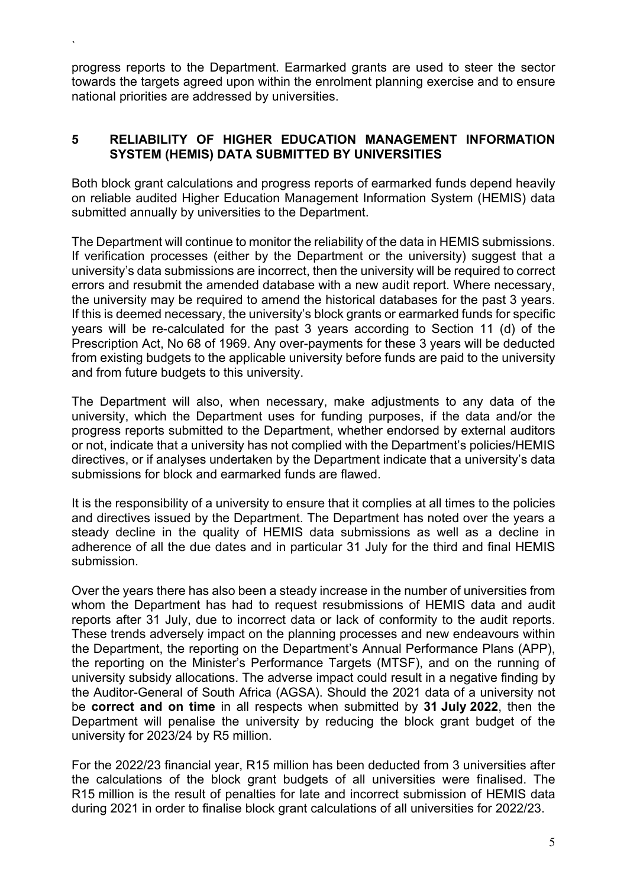progress reports to the Department. Earmarked grants are used to steer the sector towards the targets agreed upon within the enrolment planning exercise and to ensure national priorities are addressed by universities.

`

#### **5 RELIABILITY OF HIGHER EDUCATION MANAGEMENT INFORMATION SYSTEM (HEMIS) DATA SUBMITTED BY UNIVERSITIES**

Both block grant calculations and progress reports of earmarked funds depend heavily on reliable audited Higher Education Management Information System (HEMIS) data submitted annually by universities to the Department.

The Department will continue to monitor the reliability of the data in HEMIS submissions. If verification processes (either by the Department or the university) suggest that a university's data submissions are incorrect, then the university will be required to correct errors and resubmit the amended database with a new audit report. Where necessary, the university may be required to amend the historical databases for the past 3 years. If this is deemed necessary, the university's block grants or earmarked funds for specific years will be re-calculated for the past 3 years according to Section 11 (d) of the Prescription Act, No 68 of 1969. Any over-payments for these 3 years will be deducted from existing budgets to the applicable university before funds are paid to the university and from future budgets to this university.

The Department will also, when necessary, make adjustments to any data of the university, which the Department uses for funding purposes, if the data and/or the progress reports submitted to the Department, whether endorsed by external auditors or not, indicate that a university has not complied with the Department's policies/HEMIS directives, or if analyses undertaken by the Department indicate that a university's data submissions for block and earmarked funds are flawed.

It is the responsibility of a university to ensure that it complies at all times to the policies and directives issued by the Department. The Department has noted over the years a steady decline in the quality of HEMIS data submissions as well as a decline in adherence of all the due dates and in particular 31 July for the third and final HEMIS submission.

Over the years there has also been a steady increase in the number of universities from whom the Department has had to request resubmissions of HEMIS data and audit reports after 31 July, due to incorrect data or lack of conformity to the audit reports. These trends adversely impact on the planning processes and new endeavours within the Department, the reporting on the Department's Annual Performance Plans (APP), the reporting on the Minister's Performance Targets (MTSF), and on the running of university subsidy allocations. The adverse impact could result in a negative finding by the Auditor-General of South Africa (AGSA). Should the 2021 data of a university not be **correct and on time** in all respects when submitted by **31 July 2022**, then the Department will penalise the university by reducing the block grant budget of the university for 2023/24 by R5 million.

For the 2022/23 financial year, R15 million has been deducted from 3 universities after the calculations of the block grant budgets of all universities were finalised. The R15 million is the result of penalties for late and incorrect submission of HEMIS data during 2021 in order to finalise block grant calculations of all universities for 2022/23.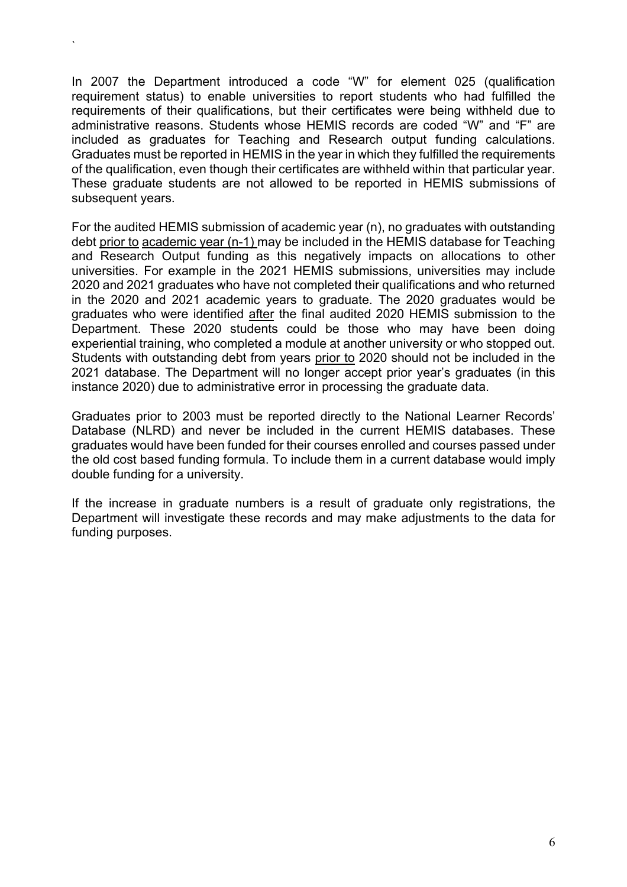In 2007 the Department introduced a code "W" for element 025 (qualification requirement status) to enable universities to report students who had fulfilled the requirements of their qualifications, but their certificates were being withheld due to administrative reasons. Students whose HEMIS records are coded "W" and "F" are included as graduates for Teaching and Research output funding calculations. Graduates must be reported in HEMIS in the year in which they fulfilled the requirements of the qualification, even though their certificates are withheld within that particular year. These graduate students are not allowed to be reported in HEMIS submissions of subsequent years.

`

For the audited HEMIS submission of academic year (n), no graduates with outstanding debt prior to academic year (n-1) may be included in the HEMIS database for Teaching and Research Output funding as this negatively impacts on allocations to other universities. For example in the 2021 HEMIS submissions, universities may include 2020 and 2021 graduates who have not completed their qualifications and who returned in the 2020 and 2021 academic years to graduate. The 2020 graduates would be graduates who were identified after the final audited 2020 HEMIS submission to the Department. These 2020 students could be those who may have been doing experiential training, who completed a module at another university or who stopped out. Students with outstanding debt from years prior to 2020 should not be included in the 2021 database. The Department will no longer accept prior year's graduates (in this instance 2020) due to administrative error in processing the graduate data.

Graduates prior to 2003 must be reported directly to the National Learner Records' Database (NLRD) and never be included in the current HEMIS databases. These graduates would have been funded for their courses enrolled and courses passed under the old cost based funding formula. To include them in a current database would imply double funding for a university.

If the increase in graduate numbers is a result of graduate only registrations, the Department will investigate these records and may make adjustments to the data for funding purposes.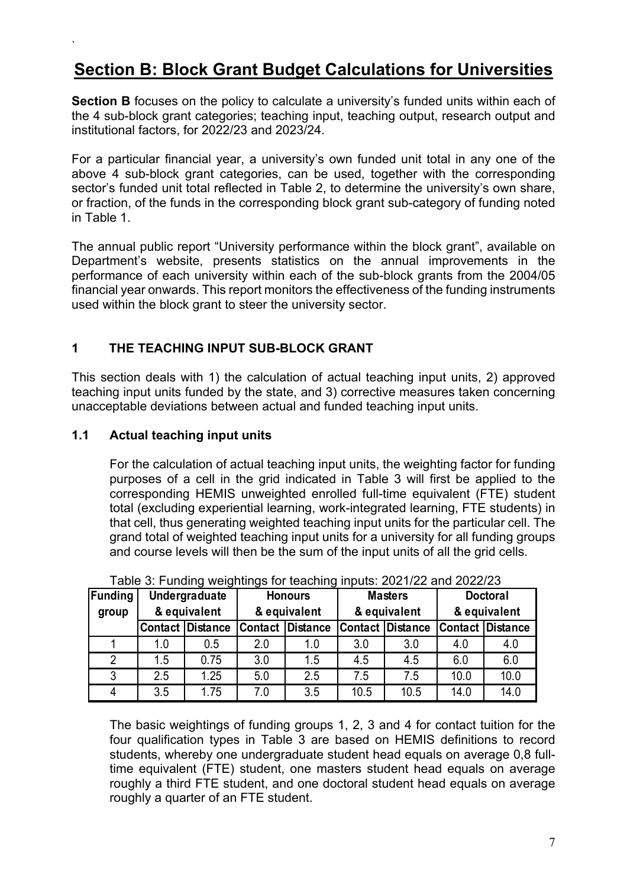## **Section B: Block Grant Budget Calculations for Universities**

**Section B** focuses on the policy to calculate a university's funded units within each of the 4 sub-block grant categories; teaching input, teaching output, research output and institutional factors, for 2022/23 and 2023/24.

For a particular financial year, a university's own funded unit total in any one of the above 4 sub-block grant categories, can be used, together with the corresponding sector's funded unit total reflected in Table 2, to determine the university's own share, or fraction, of the funds in the corresponding block grant sub-category of funding noted in Table 1.

The annual public report "University performance within the block grant", available on Department's website, presents statistics on the annual improvements in the performance of each university within each of the sub-block grants from the 2004/05 financial year onwards. This report monitors the effectiveness of the funding instruments used within the block grant to steer the university sector.

#### **1 THE TEACHING INPUT SUB-BLOCK GRANT**

This section deals with 1) the calculation of actual teaching input units, 2) approved teaching input units funded by the state, and 3) corrective measures taken concerning unacceptable deviations between actual and funded teaching input units.

#### **1.1 Actual teaching input units**

`

For the calculation of actual teaching input units, the weighting factor for funding purposes of a cell in the grid indicated in Table 3 will first be applied to the corresponding HEMIS unweighted enrolled full-time equivalent (FTE) student total (excluding experiential learning, work-integrated learning, FTE students) in that cell, thus generating weighted teaching input units for the particular cell. The grand total of weighted teaching input units for a university for all funding groups and course levels will then be the sum of the input units of all the grid cells.

| Table 0. I driving weightings for teaching impute. EVE 1722 and 2022/20 |                               |                         |                                |                         |      |                         |                                 |                         |  |  |  |
|-------------------------------------------------------------------------|-------------------------------|-------------------------|--------------------------------|-------------------------|------|-------------------------|---------------------------------|-------------------------|--|--|--|
| <b>Funding</b>                                                          | Undergraduate<br>& equivalent |                         | <b>Honours</b><br>& equivalent |                         |      | <b>Masters</b>          | <b>Doctoral</b><br>& equivalent |                         |  |  |  |
| group                                                                   |                               |                         |                                |                         |      | & equivalent            |                                 |                         |  |  |  |
|                                                                         |                               | <b>Contact Distance</b> |                                | <b>Contact Distance</b> |      | <b>Contact Distance</b> |                                 | <b>Contact Distance</b> |  |  |  |
|                                                                         | 1.0                           | 0.5                     | 2.0                            | 1.0                     | 3.0  | 3.0                     | 4.0                             | 4.0                     |  |  |  |
|                                                                         | 1.5                           | 0.75                    | 3.0                            | 1.5                     | 4.5  | 4.5                     | 6.0                             | 6.0                     |  |  |  |
| 3                                                                       | 2.5                           | 1.25                    | 5.0                            | 2.5                     | 7.5  | 7.5                     | 10.0                            | 10.0                    |  |  |  |
|                                                                         | 3.5                           | 1.75                    | 7.0                            | 3.5                     | 10.5 | 10.5                    | 14.0                            | 14.0                    |  |  |  |

Table 3: Funding weightings for teaching inputs: 2021/22 and 2022/23

The basic weightings of funding groups 1, 2, 3 and 4 for contact tuition for the four qualification types in Table 3 are based on HEMIS definitions to record students, whereby one undergraduate student head equals on average 0,8 fulltime equivalent (FTE) student, one masters student head equals on average roughly a third FTE student, and one doctoral student head equals on average roughly a quarter of an FTE student.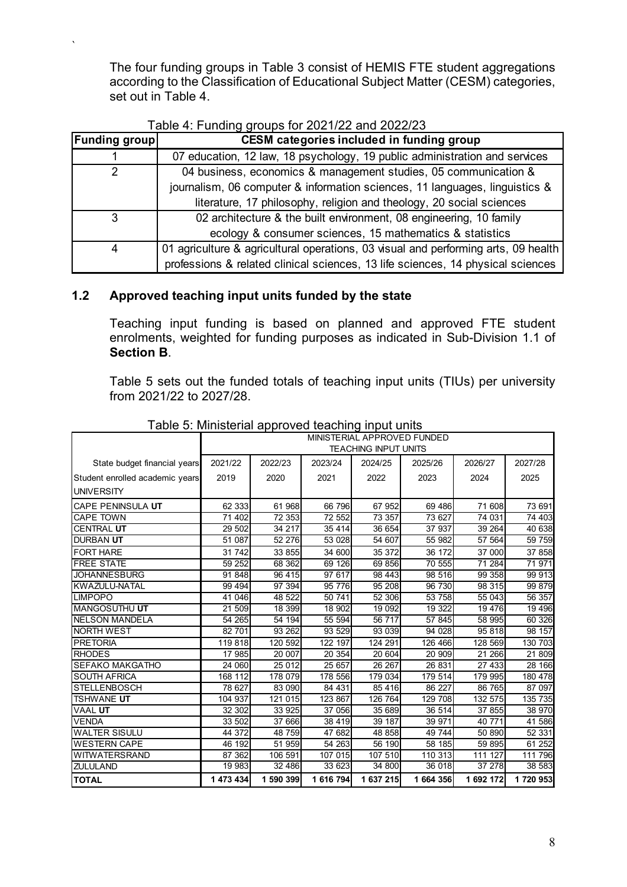The four funding groups in Table 3 consist of HEMIS FTE student aggregations according to the Classification of Educational Subject Matter (CESM) categories, set out in Table 4.

| <b>Funding group</b> | <b>CESM categories included in funding group</b>                                   |  |  |  |  |  |  |
|----------------------|------------------------------------------------------------------------------------|--|--|--|--|--|--|
|                      | 07 education, 12 law, 18 psychology, 19 public administration and services         |  |  |  |  |  |  |
| 2                    | 04 business, economics & management studies, 05 communication &                    |  |  |  |  |  |  |
|                      | journalism, 06 computer & information sciences, 11 languages, linguistics &        |  |  |  |  |  |  |
|                      | literature, 17 philosophy, religion and theology, 20 social sciences               |  |  |  |  |  |  |
| 3                    | 02 architecture & the built environment, 08 engineering, 10 family                 |  |  |  |  |  |  |
|                      | ecology & consumer sciences, 15 mathematics & statistics                           |  |  |  |  |  |  |
| 4                    | 01 agriculture & agricultural operations, 03 visual and performing arts, 09 health |  |  |  |  |  |  |
|                      | professions & related clinical sciences, 13 life sciences, 14 physical sciences    |  |  |  |  |  |  |

#### **1.2 Approved teaching input units funded by the state**

`

Teaching input funding is based on planned and approved FTE student enrolments, weighted for funding purposes as indicated in Sub-Division 1.1 of **Section B**.

Table 5 sets out the funded totals of teaching input units (TIUs) per university from 2021/22 to 2027/28.

|                                 | MINISTERIAL APPROVED FUNDED |                             |           |           |           |           |                     |  |
|---------------------------------|-----------------------------|-----------------------------|-----------|-----------|-----------|-----------|---------------------|--|
|                                 |                             | <b>TEACHING INPUT UNITS</b> |           |           |           |           |                     |  |
| State budget financial years    | 2021/22                     | 2022/23                     | 2023/24   | 2024/25   | 2025/26   | 2026/27   | 2027/28             |  |
| Student enrolled academic years | 2019                        | 2020                        | 2021      | 2022      | 2023      | 2024      | 2025                |  |
| <b>UNIVERSITY</b>               |                             |                             |           |           |           |           |                     |  |
| CAPE PENINSULA UT               | 62 333                      | 61 968                      | 66 796    | 67 952    | 69 48 6   | 71 608    | 73 691              |  |
| <b>CAPE TOWN</b>                | 71 402                      | 72 353                      | 72 552    | 73 357    | 73 627    | 74 031    | 74 403              |  |
| <b>CENTRAL UT</b>               | 29 502                      | 34 217                      | 35 4 14   | 36 654    | 37 937    | 39 264    | 40 638              |  |
| <b>DURBAN UT</b>                | 51 087                      | 52 276                      | 53 028    | 54 607    | 55 982    | 57 564    | 59 759              |  |
| <b>FORT HARE</b>                | 31 742                      | 33 855                      | 34 600    | 35 372    | 36 172    | 37 000    | 37 858              |  |
| <b>FREE STATE</b>               | 59 252                      | 68 362                      | 69 126    | 69 856    | 70 555    | 71 284    | 71 971              |  |
| <b>JOHANNESBURG</b>             | 91 848                      | 96 415                      | 97 617    | 98 443    | 98 516    | 99 358    | 99 913              |  |
| <b>KWAZULU-NATAL</b>            | 99 4 94                     | 97 394                      | 95 776    | 95 208    | 96 730    | 98 315    | 99 879              |  |
| <b>LIMPOPO</b>                  | 41 046                      | 48 522                      | 50 741    | 52 306    | 53 758    | 55 043    | 56 357              |  |
| <b>MANGOSUTHU UT</b>            | 21 509                      | 18 399                      | 18 902    | 19 092    | 19 322    | 19 476    | 19 4 9 6            |  |
| <b>NELSON MANDELA</b>           | 54 265                      | 54 194                      | 55 594    | 56 717    | 57 845    | 58 995    | 60 326              |  |
| <b>NORTH WEST</b>               | 82 701                      | 93 262                      | 93 529    | 93 039    | 94 028    | 95 818    | 98 157              |  |
| <b>PRETORIA</b>                 | 119 818                     | 120 592                     | 122 197   | 124 291   | 126 466   | 128 569   | 130 703             |  |
| <b>RHODES</b>                   | 17 985                      | 20 007                      | 20 354    | 20 604    | 20 909    | 21 266    | 21 809              |  |
| <b>SEFAKO MAKGATHO</b>          | 24 060                      | 25 012                      | 25 657    | 26 26 7   | 26 831    | 27 433    | 28 166              |  |
| <b>SOUTH AFRICA</b>             | 168 112                     | 178 079                     | 178 556   | 179 034   | 179514    | 179 995   | 180 478             |  |
| <b>STELLENBOSCH</b>             | 78 627                      | 83 090                      | 84 431    | 85 416    | 86 227    | 86 765    | 87 097              |  |
| TSHWANE UT                      | 104 937                     | 121 015                     | 123 867   | 126 764   | 129 708   | 132 575   | 135 735             |  |
| <b>VAAL UT</b>                  | 32 302                      | 33 925                      | 37 056    | 35 689    | 36 514    | 37 855    | 38 970              |  |
| <b>VENDA</b>                    | 33 502                      | 37 666                      | 38 419    | 39 187    | 39 971    | 40 771    | $\overline{41}$ 586 |  |
| <b>WALTER SISULU</b>            | 44 372                      | 48 759                      | 47 682    | 48 858    | 49 744    | 50 890    | 52 331              |  |
| <b>WESTERN CAPE</b>             | 46 192                      | $\overline{51}$ 959         | 54 263    | 56 190    | 58 185    | 59 895    | 61 252              |  |
| <b>WITWATERSRAND</b>            | 87 362                      | 106 591                     | 107 015   | 107 510   | 110 313   | 111 127   | 111 796             |  |
| <b>ZULULAND</b>                 | 19 983                      | 32 486                      | 33 623    | 34 800    | 36 018    | 37 278    | 38 583              |  |
| <b>TOTAL</b>                    | 1 473 434                   | 1 590 399                   | 1 616 794 | 1 637 215 | 1 664 356 | 1 692 172 | 1720953             |  |

#### Table 5: Ministerial approved teaching input units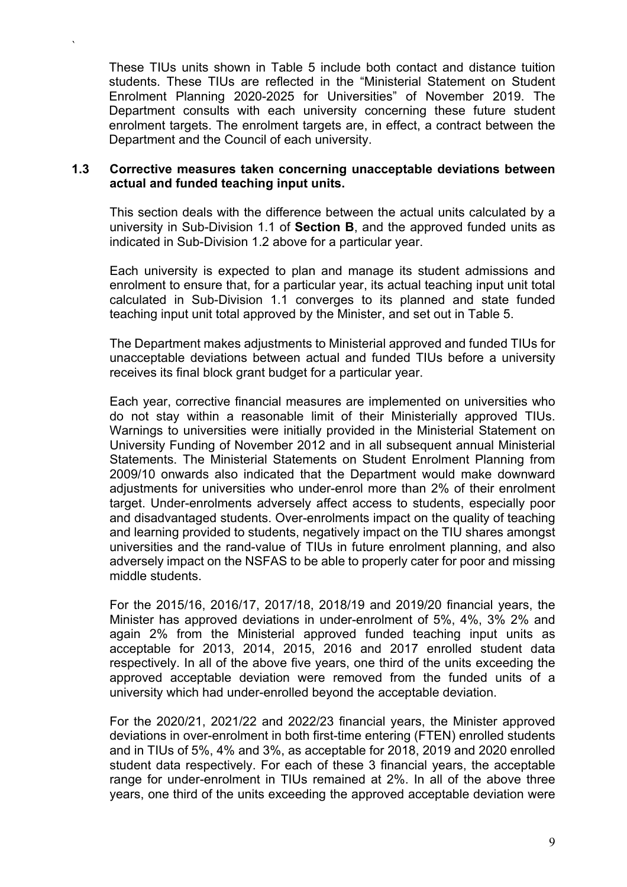These TIUs units shown in Table 5 include both contact and distance tuition students. These TIUs are reflected in the "Ministerial Statement on Student Enrolment Planning 2020-2025 for Universities" of November 2019. The Department consults with each university concerning these future student enrolment targets. The enrolment targets are, in effect, a contract between the Department and the Council of each university.

#### **1.3 Corrective measures taken concerning unacceptable deviations between actual and funded teaching input units.**

`

This section deals with the difference between the actual units calculated by a university in Sub-Division 1.1 of **Section B**, and the approved funded units as indicated in Sub-Division 1.2 above for a particular year.

Each university is expected to plan and manage its student admissions and enrolment to ensure that, for a particular year, its actual teaching input unit total calculated in Sub-Division 1.1 converges to its planned and state funded teaching input unit total approved by the Minister, and set out in Table 5.

The Department makes adjustments to Ministerial approved and funded TIUs for unacceptable deviations between actual and funded TIUs before a university receives its final block grant budget for a particular year.

Each year, corrective financial measures are implemented on universities who do not stay within a reasonable limit of their Ministerially approved TIUs. Warnings to universities were initially provided in the Ministerial Statement on University Funding of November 2012 and in all subsequent annual Ministerial Statements. The Ministerial Statements on Student Enrolment Planning from 2009/10 onwards also indicated that the Department would make downward adjustments for universities who under-enrol more than 2% of their enrolment target. Under-enrolments adversely affect access to students, especially poor and disadvantaged students. Over-enrolments impact on the quality of teaching and learning provided to students, negatively impact on the TIU shares amongst universities and the rand-value of TIUs in future enrolment planning, and also adversely impact on the NSFAS to be able to properly cater for poor and missing middle students.

For the 2015/16, 2016/17, 2017/18, 2018/19 and 2019/20 financial years, the Minister has approved deviations in under-enrolment of 5%, 4%, 3% 2% and again 2% from the Ministerial approved funded teaching input units as acceptable for 2013, 2014, 2015, 2016 and 2017 enrolled student data respectively. In all of the above five years, one third of the units exceeding the approved acceptable deviation were removed from the funded units of a university which had under-enrolled beyond the acceptable deviation.

For the 2020/21, 2021/22 and 2022/23 financial years, the Minister approved deviations in over-enrolment in both first-time entering (FTEN) enrolled students and in TIUs of 5%, 4% and 3%, as acceptable for 2018, 2019 and 2020 enrolled student data respectively. For each of these 3 financial years, the acceptable range for under-enrolment in TIUs remained at 2%. In all of the above three years, one third of the units exceeding the approved acceptable deviation were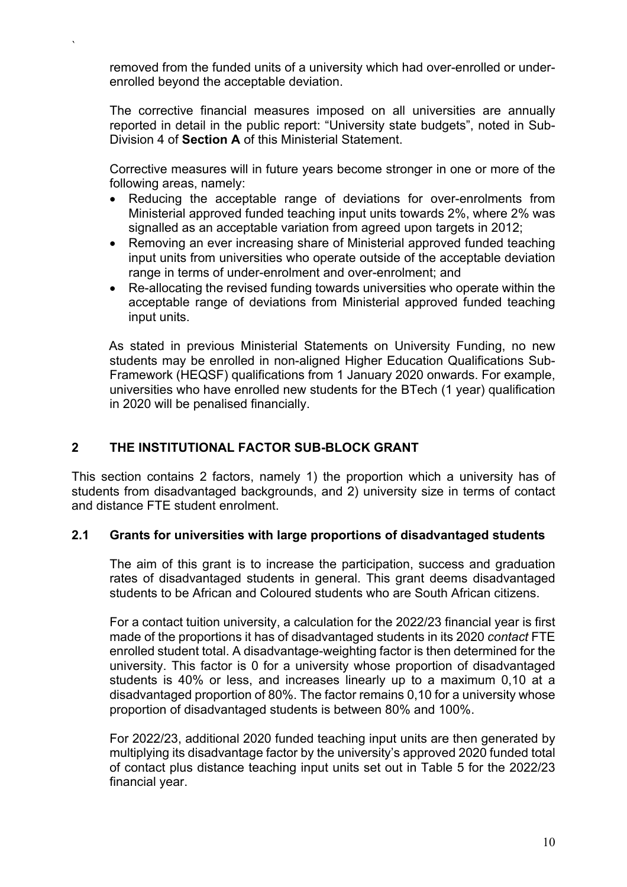removed from the funded units of a university which had over-enrolled or underenrolled beyond the acceptable deviation.

The corrective financial measures imposed on all universities are annually reported in detail in the public report: "University state budgets", noted in Sub-Division 4 of **Section A** of this Ministerial Statement.

Corrective measures will in future years become stronger in one or more of the following areas, namely:

- Reducing the acceptable range of deviations for over-enrolments from Ministerial approved funded teaching input units towards 2%, where 2% was signalled as an acceptable variation from agreed upon targets in 2012;
- Removing an ever increasing share of Ministerial approved funded teaching input units from universities who operate outside of the acceptable deviation range in terms of under-enrolment and over-enrolment; and
- Re-allocating the revised funding towards universities who operate within the acceptable range of deviations from Ministerial approved funded teaching input units.

As stated in previous Ministerial Statements on University Funding, no new students may be enrolled in non-aligned Higher Education Qualifications Sub-Framework (HEQSF) qualifications from 1 January 2020 onwards. For example, universities who have enrolled new students for the BTech (1 year) qualification in 2020 will be penalised financially.

#### **2 THE INSTITUTIONAL FACTOR SUB-BLOCK GRANT**

`

This section contains 2 factors, namely 1) the proportion which a university has of students from disadvantaged backgrounds, and 2) university size in terms of contact and distance FTE student enrolment.

#### **2.1 Grants for universities with large proportions of disadvantaged students**

The aim of this grant is to increase the participation, success and graduation rates of disadvantaged students in general. This grant deems disadvantaged students to be African and Coloured students who are South African citizens.

For a contact tuition university, a calculation for the 2022/23 financial year is first made of the proportions it has of disadvantaged students in its 2020 *contact* FTE enrolled student total. A disadvantage-weighting factor is then determined for the university. This factor is 0 for a university whose proportion of disadvantaged students is 40% or less, and increases linearly up to a maximum 0,10 at a disadvantaged proportion of 80%. The factor remains 0,10 for a university whose proportion of disadvantaged students is between 80% and 100%.

For 2022/23, additional 2020 funded teaching input units are then generated by multiplying its disadvantage factor by the university's approved 2020 funded total of contact plus distance teaching input units set out in Table 5 for the 2022/23 financial year.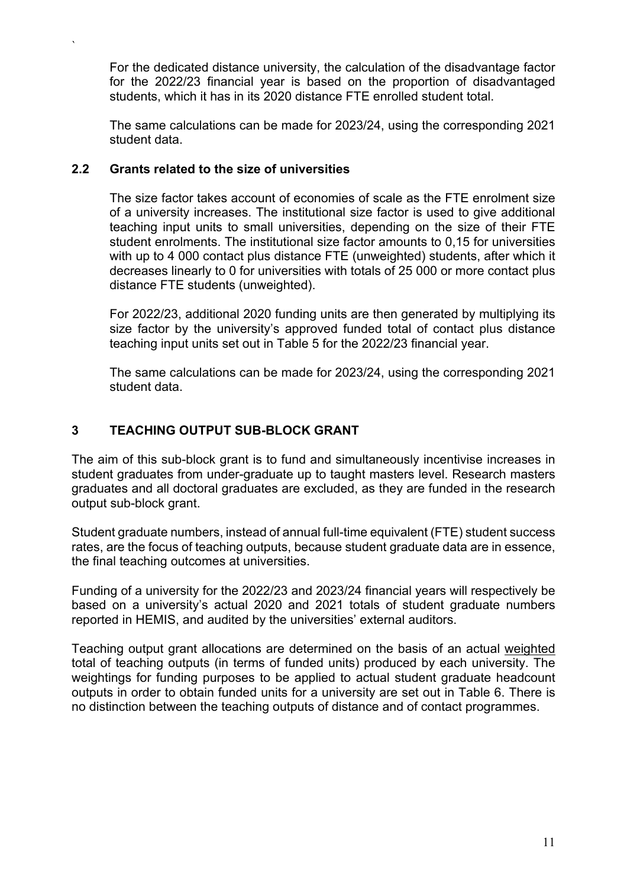For the dedicated distance university, the calculation of the disadvantage factor for the 2022/23 financial year is based on the proportion of disadvantaged students, which it has in its 2020 distance FTE enrolled student total.

The same calculations can be made for 2023/24, using the corresponding 2021 student data.

#### **2.2 Grants related to the size of universities**

`

The size factor takes account of economies of scale as the FTE enrolment size of a university increases. The institutional size factor is used to give additional teaching input units to small universities, depending on the size of their FTE student enrolments. The institutional size factor amounts to 0,15 for universities with up to 4 000 contact plus distance FTE (unweighted) students, after which it decreases linearly to 0 for universities with totals of 25 000 or more contact plus distance FTE students (unweighted).

For 2022/23, additional 2020 funding units are then generated by multiplying its size factor by the university's approved funded total of contact plus distance teaching input units set out in Table 5 for the 2022/23 financial year.

The same calculations can be made for 2023/24, using the corresponding 2021 student data.

#### **3 TEACHING OUTPUT SUB-BLOCK GRANT**

The aim of this sub-block grant is to fund and simultaneously incentivise increases in student graduates from under-graduate up to taught masters level. Research masters graduates and all doctoral graduates are excluded, as they are funded in the research output sub-block grant.

Student graduate numbers, instead of annual full-time equivalent (FTE) student success rates, are the focus of teaching outputs, because student graduate data are in essence, the final teaching outcomes at universities.

Funding of a university for the 2022/23 and 2023/24 financial years will respectively be based on a university's actual 2020 and 2021 totals of student graduate numbers reported in HEMIS, and audited by the universities' external auditors.

Teaching output grant allocations are determined on the basis of an actual weighted total of teaching outputs (in terms of funded units) produced by each university. The weightings for funding purposes to be applied to actual student graduate headcount outputs in order to obtain funded units for a university are set out in Table 6. There is no distinction between the teaching outputs of distance and of contact programmes.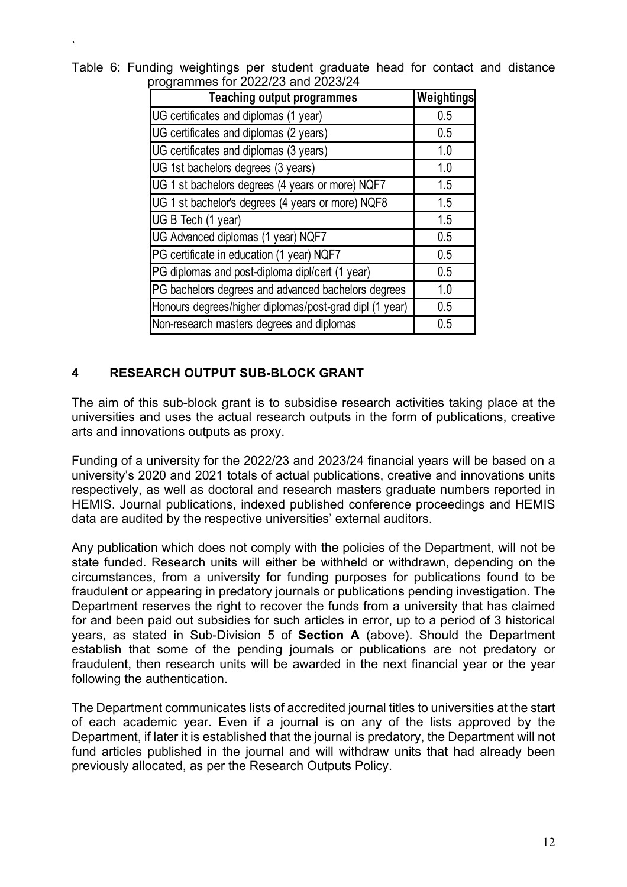| programmes for Z022/23 and Z023/24                      |            |  |  |  |  |
|---------------------------------------------------------|------------|--|--|--|--|
| <b>Teaching output programmes</b>                       | Weightings |  |  |  |  |
| UG certificates and diplomas (1 year)                   | 0.5        |  |  |  |  |
| UG certificates and diplomas (2 years)                  | 0.5        |  |  |  |  |
| UG certificates and diplomas (3 years)                  | 1.0        |  |  |  |  |
| UG 1st bachelors degrees (3 years)                      | 1.0        |  |  |  |  |
| UG 1 st bachelors degrees (4 years or more) NQF7        | 1.5        |  |  |  |  |
| UG 1 st bachelor's degrees (4 years or more) NQF8       | 1.5        |  |  |  |  |
| UG B Tech (1 year)                                      | 1.5        |  |  |  |  |
| UG Advanced diplomas (1 year) NQF7                      | 0.5        |  |  |  |  |
| PG certificate in education (1 year) NQF7               | 0.5        |  |  |  |  |
| PG diplomas and post-diploma dipl/cert (1 year)         | 0.5        |  |  |  |  |
| PG bachelors degrees and advanced bachelors degrees     | 1.0        |  |  |  |  |
| Honours degrees/higher diplomas/post-grad dipl (1 year) | 0.5        |  |  |  |  |
| Non-research masters degrees and diplomas               | 0.5        |  |  |  |  |

Table 6: Funding weightings per student graduate head for contact and distance programmes for 2022/23 and 2023/24

#### **4 RESEARCH OUTPUT SUB-BLOCK GRANT**

`

The aim of this sub-block grant is to subsidise research activities taking place at the universities and uses the actual research outputs in the form of publications, creative arts and innovations outputs as proxy.

Funding of a university for the 2022/23 and 2023/24 financial years will be based on a university's 2020 and 2021 totals of actual publications, creative and innovations units respectively, as well as doctoral and research masters graduate numbers reported in HEMIS. Journal publications, indexed published conference proceedings and HEMIS data are audited by the respective universities' external auditors.

Any publication which does not comply with the policies of the Department, will not be state funded. Research units will either be withheld or withdrawn, depending on the circumstances, from a university for funding purposes for publications found to be fraudulent or appearing in predatory journals or publications pending investigation. The Department reserves the right to recover the funds from a university that has claimed for and been paid out subsidies for such articles in error, up to a period of 3 historical years, as stated in Sub-Division 5 of **Section A** (above). Should the Department establish that some of the pending journals or publications are not predatory or fraudulent, then research units will be awarded in the next financial year or the year following the authentication.

The Department communicates lists of accredited journal titles to universities at the start of each academic year. Even if a journal is on any of the lists approved by the Department, if later it is established that the journal is predatory, the Department will not fund articles published in the journal and will withdraw units that had already been previously allocated, as per the Research Outputs Policy.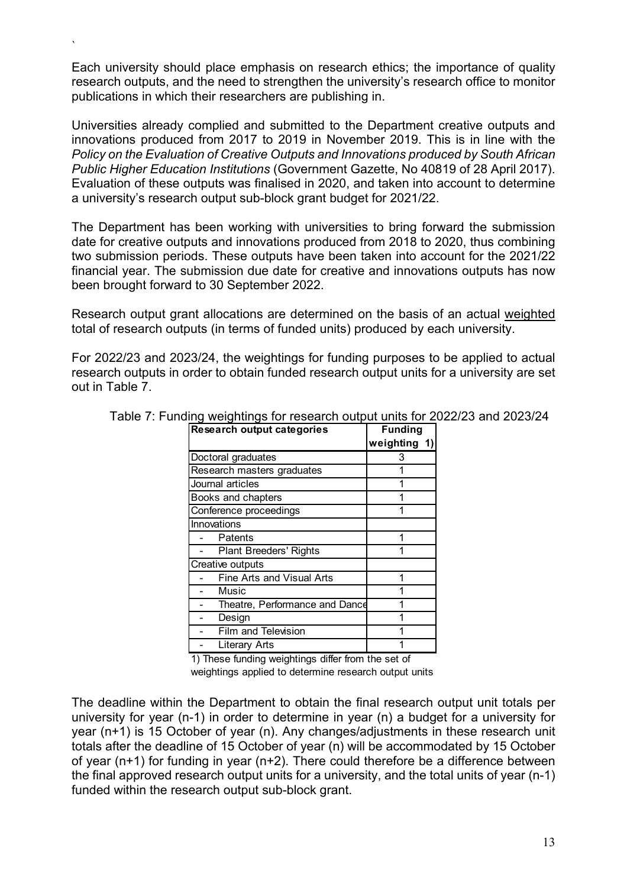Each university should place emphasis on research ethics; the importance of quality research outputs, and the need to strengthen the university's research office to monitor publications in which their researchers are publishing in.

`

Universities already complied and submitted to the Department creative outputs and innovations produced from 2017 to 2019 in November 2019. This is in line with the *Policy on the Evaluation of Creative Outputs and Innovations produced by South African Public Higher Education Institutions* (Government Gazette, No 40819 of 28 April 2017). Evaluation of these outputs was finalised in 2020, and taken into account to determine a university's research output sub-block grant budget for 2021/22.

The Department has been working with universities to bring forward the submission date for creative outputs and innovations produced from 2018 to 2020, thus combining two submission periods. These outputs have been taken into account for the 2021/22 financial year. The submission due date for creative and innovations outputs has now been brought forward to 30 September 2022.

Research output grant allocations are determined on the basis of an actual weighted total of research outputs (in terms of funded units) produced by each university.

For 2022/23 and 2023/24, the weightings for funding purposes to be applied to actual research outputs in order to obtain funded research output units for a university are set out in Table 7.

| <b>Research output categories</b> | <b>Funding</b> |
|-----------------------------------|----------------|
|                                   | weighting 1)   |
| Doctoral graduates                | 3              |
| Research masters graduates        |                |
| Journal articles                  |                |
| Books and chapters                |                |
| Conference proceedings            |                |
| Innovations                       |                |
| Patents                           |                |
| <b>Plant Breeders' Rights</b>     |                |
| Creative outputs                  |                |
| <b>Fine Arts and Visual Arts</b>  |                |
| Music                             |                |
| Theatre, Performance and Dance    |                |
| Design                            |                |
| <b>Film and Television</b>        |                |
| Literary Arts                     |                |

Table 7: Funding weightings for research output units for 2022/23 and 2023/24

1) These funding weightings differ from the set of

weightings applied to determine research output units

The deadline within the Department to obtain the final research output unit totals per university for year (n-1) in order to determine in year (n) a budget for a university for year (n+1) is 15 October of year (n). Any changes/adjustments in these research unit totals after the deadline of 15 October of year (n) will be accommodated by 15 October of year (n+1) for funding in year (n+2). There could therefore be a difference between the final approved research output units for a university, and the total units of year (n-1) funded within the research output sub-block grant.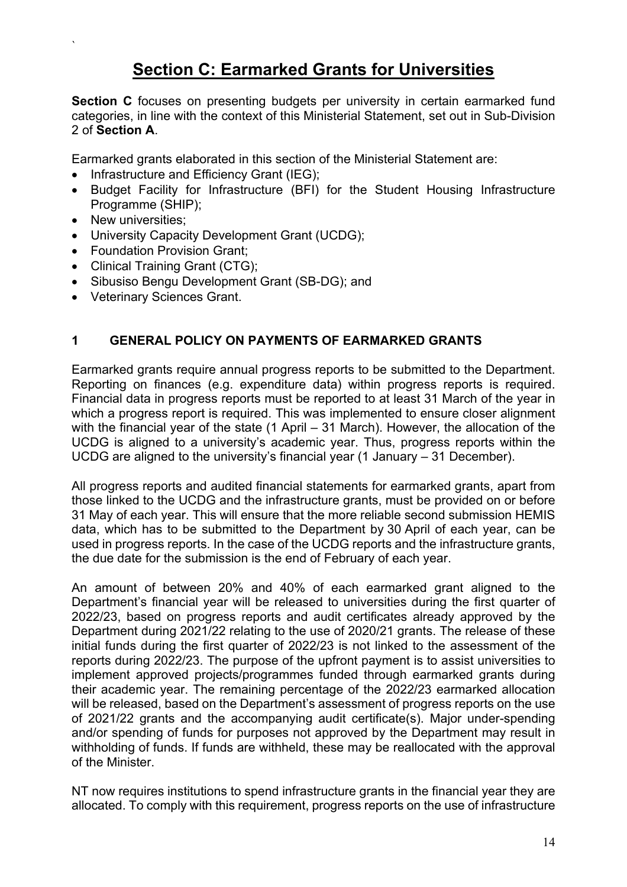## **Section C: Earmarked Grants for Universities**

**Section C** focuses on presenting budgets per university in certain earmarked fund categories, in line with the context of this Ministerial Statement, set out in Sub-Division 2 of **Section A**.

Earmarked grants elaborated in this section of the Ministerial Statement are:

- Infrastructure and Efficiency Grant (IEG);
- Budget Facility for Infrastructure (BFI) for the Student Housing Infrastructure Programme (SHIP);
- New universities;

`

- University Capacity Development Grant (UCDG);
- Foundation Provision Grant:
- Clinical Training Grant (CTG):
- Sibusiso Bengu Development Grant (SB-DG); and
- Veterinary Sciences Grant.

#### **1 GENERAL POLICY ON PAYMENTS OF EARMARKED GRANTS**

Earmarked grants require annual progress reports to be submitted to the Department. Reporting on finances (e.g. expenditure data) within progress reports is required. Financial data in progress reports must be reported to at least 31 March of the year in which a progress report is required. This was implemented to ensure closer alignment with the financial year of the state (1 April – 31 March). However, the allocation of the UCDG is aligned to a university's academic year. Thus, progress reports within the UCDG are aligned to the university's financial year (1 January – 31 December).

All progress reports and audited financial statements for earmarked grants, apart from those linked to the UCDG and the infrastructure grants, must be provided on or before 31 May of each year. This will ensure that the more reliable second submission HEMIS data, which has to be submitted to the Department by 30 April of each year, can be used in progress reports. In the case of the UCDG reports and the infrastructure grants, the due date for the submission is the end of February of each year.

An amount of between 20% and 40% of each earmarked grant aligned to the Department's financial year will be released to universities during the first quarter of 2022/23, based on progress reports and audit certificates already approved by the Department during 2021/22 relating to the use of 2020/21 grants. The release of these initial funds during the first quarter of 2022/23 is not linked to the assessment of the reports during 2022/23. The purpose of the upfront payment is to assist universities to implement approved projects/programmes funded through earmarked grants during their academic year. The remaining percentage of the 2022/23 earmarked allocation will be released, based on the Department's assessment of progress reports on the use of 2021/22 grants and the accompanying audit certificate(s). Major under-spending and/or spending of funds for purposes not approved by the Department may result in withholding of funds. If funds are withheld, these may be reallocated with the approval of the Minister.

NT now requires institutions to spend infrastructure grants in the financial year they are allocated. To comply with this requirement, progress reports on the use of infrastructure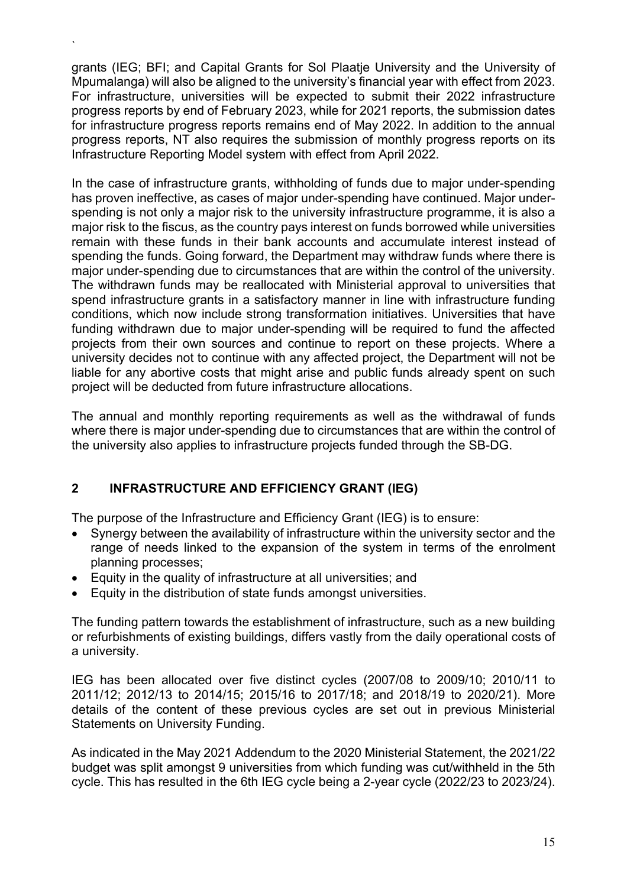grants (IEG; BFI; and Capital Grants for Sol Plaatje University and the University of Mpumalanga) will also be aligned to the university's financial year with effect from 2023. For infrastructure, universities will be expected to submit their 2022 infrastructure progress reports by end of February 2023, while for 2021 reports, the submission dates for infrastructure progress reports remains end of May 2022. In addition to the annual progress reports, NT also requires the submission of monthly progress reports on its Infrastructure Reporting Model system with effect from April 2022.

`

In the case of infrastructure grants, withholding of funds due to major under-spending has proven ineffective, as cases of major under-spending have continued. Major underspending is not only a major risk to the university infrastructure programme, it is also a major risk to the fiscus, as the country pays interest on funds borrowed while universities remain with these funds in their bank accounts and accumulate interest instead of spending the funds. Going forward, the Department may withdraw funds where there is major under-spending due to circumstances that are within the control of the university. The withdrawn funds may be reallocated with Ministerial approval to universities that spend infrastructure grants in a satisfactory manner in line with infrastructure funding conditions, which now include strong transformation initiatives. Universities that have funding withdrawn due to major under-spending will be required to fund the affected projects from their own sources and continue to report on these projects. Where a university decides not to continue with any affected project, the Department will not be liable for any abortive costs that might arise and public funds already spent on such project will be deducted from future infrastructure allocations.

The annual and monthly reporting requirements as well as the withdrawal of funds where there is major under-spending due to circumstances that are within the control of the university also applies to infrastructure projects funded through the SB-DG.

#### **2 INFRASTRUCTURE AND EFFICIENCY GRANT (IEG)**

The purpose of the Infrastructure and Efficiency Grant (IEG) is to ensure:

- Synergy between the availability of infrastructure within the university sector and the range of needs linked to the expansion of the system in terms of the enrolment planning processes;
- Equity in the quality of infrastructure at all universities; and
- Equity in the distribution of state funds amongst universities.

The funding pattern towards the establishment of infrastructure, such as a new building or refurbishments of existing buildings, differs vastly from the daily operational costs of a university.

IEG has been allocated over five distinct cycles (2007/08 to 2009/10; 2010/11 to 2011/12; 2012/13 to 2014/15; 2015/16 to 2017/18; and 2018/19 to 2020/21). More details of the content of these previous cycles are set out in previous Ministerial Statements on University Funding.

As indicated in the May 2021 Addendum to the 2020 Ministerial Statement, the 2021/22 budget was split amongst 9 universities from which funding was cut/withheld in the 5th cycle. This has resulted in the 6th IEG cycle being a 2-year cycle (2022/23 to 2023/24).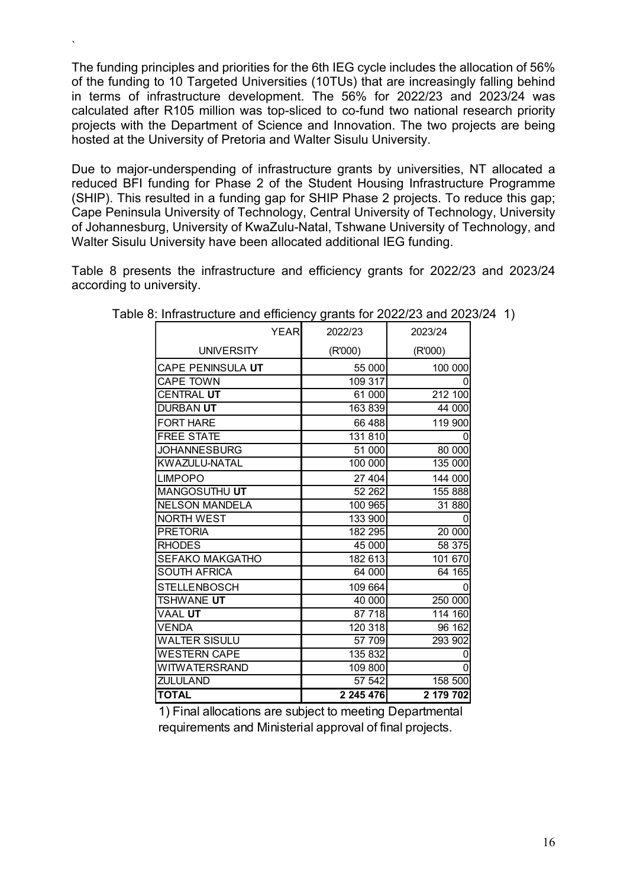The funding principles and priorities for the 6th IEG cycle includes the allocation of 56% of the funding to 10 Targeted Universities (10TUs) that are increasingly falling behind in terms of infrastructure development. The 56% for 2022/23 and 2023/24 was calculated after R105 million was top-sliced to co-fund two national research priority projects with the Department of Science and Innovation. The two projects are being hosted at the University of Pretoria and Walter Sisulu University.

`

Due to major-underspending of infrastructure grants by universities, NT allocated a reduced BFI funding for Phase 2 of the Student Housing Infrastructure Programme (SHIP). This resulted in a funding gap for SHIP Phase 2 projects. To reduce this gap; Cape Peninsula University of Technology, Central University of Technology, University of Johannesburg, University of KwaZulu-Natal, Tshwane University of Technology, and Walter Sisulu University have been allocated additional IEG funding.

Table 8 presents the infrastructure and efficiency grants for 2022/23 and 2023/24 according to university.

| <b>YEAR</b>            | 2022/23   | 2023/24   |
|------------------------|-----------|-----------|
| <b>UNIVERSITY</b>      | (R'000)   | (R'000)   |
| CAPE PENINSULA UT      | 55 000    | 100 000   |
| <b>CAPE TOWN</b>       | 109 317   | 0         |
| <b>CENTRAL UT</b>      | 61 000    | 212 100   |
| DURBAN UT              | 163 839   | 44 000    |
| <b>FORT HARE</b>       | 66 488    | 119 900   |
| <b>FREE STATE</b>      | 131 810   | 0         |
| <b>JOHANNESBURG</b>    | 51 000    | 80 000    |
| KWAZULU-NATAL          | 100 000   | 135 000   |
| <b>LIMPOPO</b>         | 27 404    | 144 000   |
| MANGOSUTHU UT          | 52 262    | 155 888   |
| <b>NELSON MANDELA</b>  | 100 965   | 31 880    |
| <b>NORTH WEST</b>      | 133 900   | 0         |
| <b>PRETORIA</b>        | 182 295   | 20 000    |
| <b>RHODES</b>          | 45 000    | 58 375    |
| <b>SEFAKO MAKGATHO</b> | 182 613   | 101 670   |
| <b>SOUTH AFRICA</b>    | 64 000    | 64 165    |
| <b>STELLENBOSCH</b>    | 109 664   | 0         |
| TSHWANE UT             | 40 000    | 250 000   |
| <b>VAAL UT</b>         | 87 718    | 114 160   |
| <b>VENDA</b>           | 120 318   | 96 162    |
| <b>WALTER SISULU</b>   | 57 709    | 293 902   |
| WESTERN CAPE           | 135 832   | 0         |
| <b>WITWATERSRAND</b>   | 109 800   | 0         |
| <b>ZULULAND</b>        | 57 542    | 158 500   |
| <b>TOTAL</b>           | 2 245 476 | 2 179 702 |

1) Final allocations are subject to meeting Departmental requirements and Ministerial approval of final projects.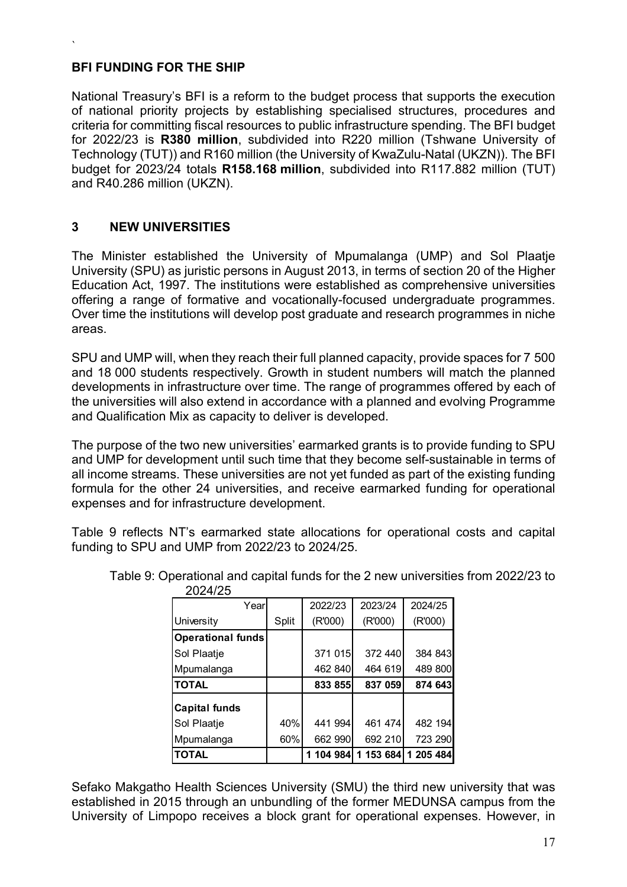#### **BFI FUNDING FOR THE SHIP**

`

National Treasury's BFI is a reform to the budget process that supports the execution of national priority projects by establishing specialised structures, procedures and criteria for committing fiscal resources to public infrastructure spending. The BFI budget for 2022/23 is **R380 million**, subdivided into R220 million (Tshwane University of Technology (TUT)) and R160 million (the University of KwaZulu-Natal (UKZN)). The BFI budget for 2023/24 totals **R158.168 million**, subdivided into R117.882 million (TUT) and R40.286 million (UKZN).

#### **3 NEW UNIVERSITIES**

The Minister established the University of Mpumalanga (UMP) and Sol Plaatje University (SPU) as juristic persons in August 2013, in terms of section 20 of the Higher Education Act, 1997. The institutions were established as comprehensive universities offering a range of formative and vocationally-focused undergraduate programmes. Over time the institutions will develop post graduate and research programmes in niche areas.

SPU and UMP will, when they reach their full planned capacity, provide spaces for 7 500 and 18 000 students respectively. Growth in student numbers will match the planned developments in infrastructure over time. The range of programmes offered by each of the universities will also extend in accordance with a planned and evolving Programme and Qualification Mix as capacity to deliver is developed.

The purpose of the two new universities' earmarked grants is to provide funding to SPU and UMP for development until such time that they become self-sustainable in terms of all income streams. These universities are not yet funded as part of the existing funding formula for the other 24 universities, and receive earmarked funding for operational expenses and for infrastructure development.

Table 9 reflects NT's earmarked state allocations for operational costs and capital funding to SPU and UMP from 2022/23 to 2024/25.

| Yearl                |       | 2022/23   | 2023/24   | 2024/25   |
|----------------------|-------|-----------|-----------|-----------|
| University           | Split | (R'000)   | (R'000)   | (R'000)   |
| Operational funds    |       |           |           |           |
| Sol Plaatje          |       | 371 015   | 372 440   | 384 843   |
| Mpumalanga           |       | 462 840   | 464 619   | 489 800   |
| <b>TOTAL</b>         |       | 833 855   | 837 059   | 874 643   |
| <b>Capital funds</b> |       |           |           |           |
| Sol Plaatje          | 40%   | 441 994   | 461 474   | 482 194   |
| Mpumalanga           | 60%   | 662 990   | 692 210   | 723 290   |
| <b>TOTAL</b>         |       | 1 104 984 | 1 153 684 | 1 205 484 |

Table 9: Operational and capital funds for the 2 new universities from 2022/23 to 2024/25

Sefako Makgatho Health Sciences University (SMU) the third new university that was established in 2015 through an unbundling of the former MEDUNSA campus from the University of Limpopo receives a block grant for operational expenses. However, in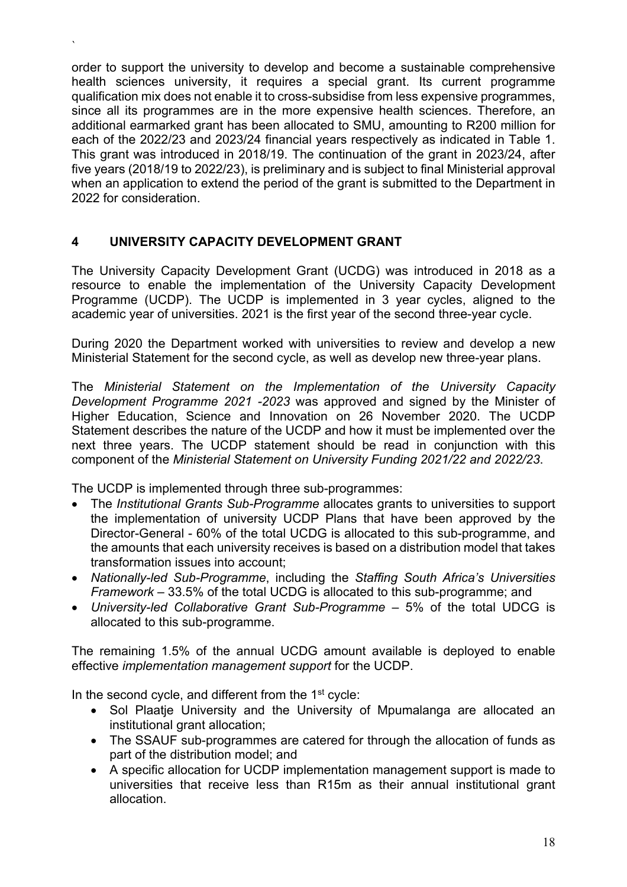order to support the university to develop and become a sustainable comprehensive health sciences university, it requires a special grant. Its current programme qualification mix does not enable it to cross-subsidise from less expensive programmes, since all its programmes are in the more expensive health sciences. Therefore, an additional earmarked grant has been allocated to SMU, amounting to R200 million for each of the 2022/23 and 2023/24 financial years respectively as indicated in Table 1. This grant was introduced in 2018/19. The continuation of the grant in 2023/24, after five years (2018/19 to 2022/23), is preliminary and is subject to final Ministerial approval when an application to extend the period of the grant is submitted to the Department in 2022 for consideration.

#### **4 UNIVERSITY CAPACITY DEVELOPMENT GRANT**

`

The University Capacity Development Grant (UCDG) was introduced in 2018 as a resource to enable the implementation of the University Capacity Development Programme (UCDP). The UCDP is implemented in 3 year cycles, aligned to the academic year of universities. 2021 is the first year of the second three-year cycle.

During 2020 the Department worked with universities to review and develop a new Ministerial Statement for the second cycle, as well as develop new three-year plans.

The *Ministerial Statement on the Implementation of the University Capacity Development Programme 2021 -2023* was approved and signed by the Minister of Higher Education, Science and Innovation on 26 November 2020. The UCDP Statement describes the nature of the UCDP and how it must be implemented over the next three years. The UCDP statement should be read in conjunction with this component of the *Ministerial Statement on University Funding 2021/22 and 2022/23*.

The UCDP is implemented through three sub-programmes:

- The *Institutional Grants Sub-Programme* allocates grants to universities to support the implementation of university UCDP Plans that have been approved by the Director-General - 60% of the total UCDG is allocated to this sub-programme, and the amounts that each university receives is based on a distribution model that takes transformation issues into account;
- *Nationally-led Sub-Programme*, including the *Staffing South Africa's Universities Framework* – 33.5% of the total UCDG is allocated to this sub-programme; and
- *University-led Collaborative Grant Sub-Programme* 5% of the total UDCG is allocated to this sub-programme.

The remaining 1.5% of the annual UCDG amount available is deployed to enable effective *implementation management support* for the UCDP.

In the second cycle, and different from the  $1<sup>st</sup>$  cycle:

- Sol Plaatje University and the University of Mpumalanga are allocated an institutional grant allocation;
- The SSAUF sub-programmes are catered for through the allocation of funds as part of the distribution model; and
- A specific allocation for UCDP implementation management support is made to universities that receive less than R15m as their annual institutional grant allocation.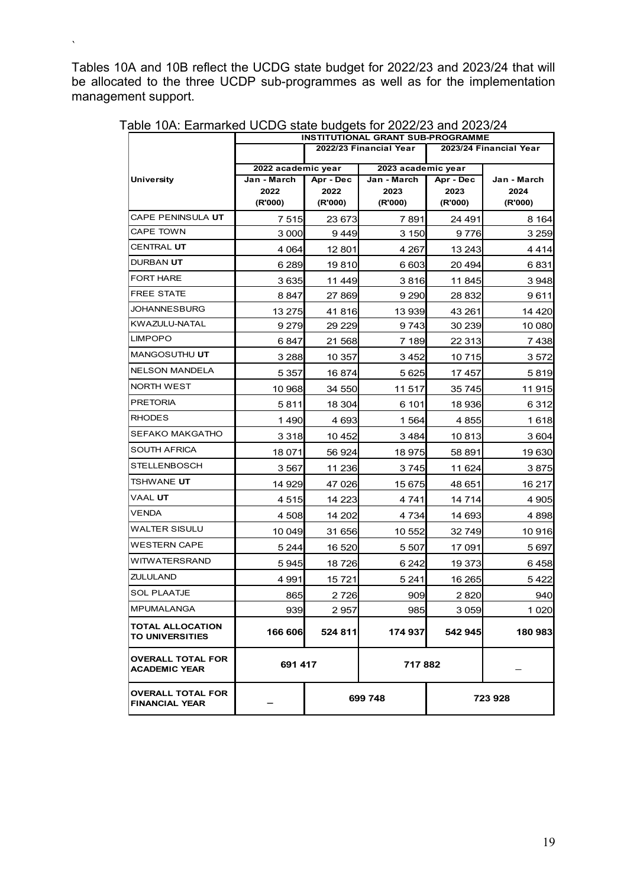Tables 10A and 10B reflect the UCDG state budget for 2022/23 and 2023/24 that will be allocated to the three UCDP sub-programmes as well as for the implementation management support.

 $\ddot{\phantom{0}}$ 

|                                                   | INSTITUTIONAL GRANT SUB-PROGRAMME |                                          |                        |           |             |
|---------------------------------------------------|-----------------------------------|------------------------------------------|------------------------|-----------|-------------|
|                                                   |                                   | 2022/23 Financial Year                   | 2023/24 Financial Year |           |             |
|                                                   |                                   | 2022 academic year<br>2023 academic year |                        |           |             |
| <b>University</b>                                 | Jan - March                       | Apr - Dec                                | Jan - March            | Apr - Dec | Jan - March |
|                                                   | 2022                              | 2022                                     | 2023                   | 2023      | 2024        |
|                                                   | (R'000)                           | (R'000)                                  | (R'000)                | (R'000)   | (R'000)     |
| CAPE PENINSULA <b>UT</b>                          | 7515                              | 23 673                                   | 7891                   | 24 491    | 8 1 64      |
| <b>CAPE TOWN</b>                                  | 3 0 0 0                           | 9449                                     | 3 1 5 0                | 9776      | 3 2 5 9     |
| CENTRAL <b>UT</b>                                 | 4 0 64                            | 12 801                                   | 4 267                  | 13 243    | 4414        |
| DURBAN <b>UT</b>                                  | 6 2 8 9                           | 19810                                    | 6 603                  | 20 4 94   | 6831        |
| <b>FORT HARE</b>                                  | 3635                              | 11 449                                   | 3816                   | 11845     | 3948        |
| <b>FREE STATE</b>                                 | 8847                              | 27 869                                   | 9 2 9 0                | 28 832    | 9611        |
| JOHANNESBURG                                      | 13 275                            | 41 816                                   | 13 939                 | 43 261    | 14 420      |
| KWAZULU-NATAL                                     | 9 2 7 9                           | 29 2 29                                  | 9743                   | 30 239    | 10 080      |
| <b>LIMPOPO</b>                                    | 6847                              | 21 568                                   | 7 189                  | 22 313    | 7438        |
| MANGOSUTHU UT                                     | 3 2 8 8                           | 10 357                                   | 3452                   | 10 715    | 3 572       |
| <b>NELSON MANDELA</b>                             | 5 3 5 7                           | 16874                                    | 5 6 2 5                | 17457     | 5819        |
| <b>NORTH WEST</b>                                 | 10 968                            | 34 550                                   | 11 517                 | 35 745    | 11 915      |
| <b>PRETORIA</b>                                   | 5811                              | 18 304                                   | 6 101                  | 18 936    | 6 3 1 2     |
| <b>RHODES</b>                                     | 1490                              | 4 6 9 3                                  | 1 5 6 4                | 4855      | 1618        |
| SEFAKO MAKGATHO                                   | 3 3 1 8                           | 10 452                                   | 3 4 8 4                | 10813     | 3 604       |
| SOUTH AFRICA                                      | 18 071                            | 56 924                                   | 18 975                 | 58 891    | 19 630      |
| STELLENBOSCH                                      | 3 5 6 7                           | 11 236                                   | 3745                   | 11 624    | 3875        |
| tshwane <b>ut</b>                                 | 14 929                            | 47 026                                   | 15 675                 | 48 651    | 16 217      |
| VAAL <b>UT</b>                                    | 4515                              | 14 223                                   | 4 741                  | 14 714    | 4 9 0 5     |
| VENDA                                             | 4 508                             | 14 202                                   | 4 734                  | 14 693    | 4 898       |
| WALTER SISULU                                     | 10 049                            | 31 656                                   | 10 552                 | 32 749    | 10 916      |
| WESTERN CAPE                                      | 5 2 4 4                           | 16 520                                   | 5 5 0 7                | 17 091    | 5697        |
| WITWATERSRAND                                     | 5945                              | 18 726                                   | 6 242                  | 19 373    | 6458        |
| ZULULAND                                          | 4 9 9 1                           | 15721                                    | 5 2 4 1                | 16 265    | 5422        |
| <b>SOL PLAATJE</b>                                | 865                               | 2 726                                    | 909                    | 2820      | 940         |
| <b>MPUMALANGA</b>                                 | 939                               | 2 9571                                   | 985                    | 3 0 5 9   | 1 0 2 0     |
| TOTAL ALLOCATION<br>TO UNIVERSITIES               | 166 606                           | 524 811                                  | 174 937                | 542 945   | 180 983     |
| <b>OVERALL TOTAL FOR</b><br><b>ACADEMIC YEAR</b>  | 691 417                           |                                          | 717 882                |           |             |
| <b>OVERALL TOTAL FOR</b><br><b>FINANCIAL YEAR</b> |                                   | 699 748                                  |                        | 723 928   |             |

Table 10A: Earmarked UCDG state budgets for 2022/23 and 2023/24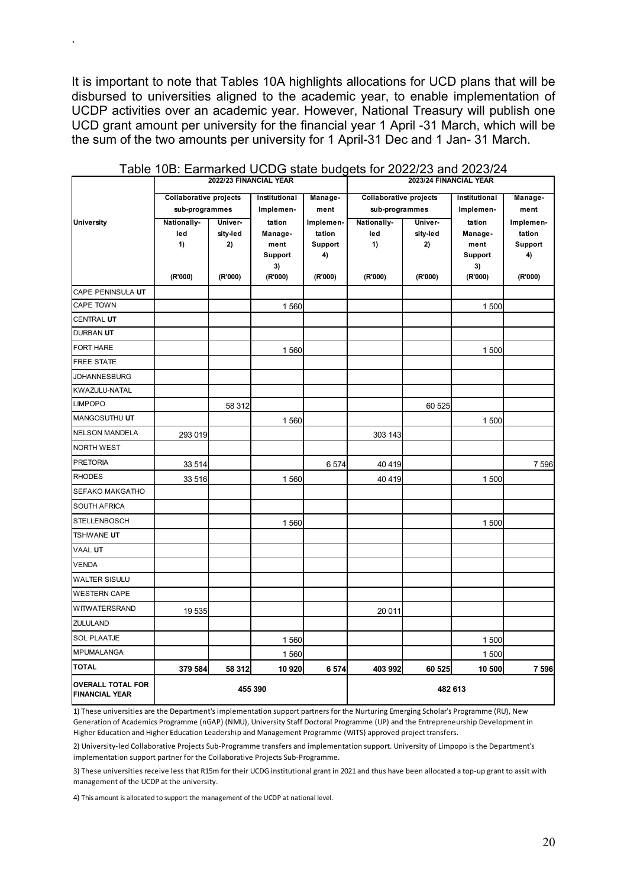It is important to note that Tables 10A highlights allocations for UCD plans that will be disbursed to universities aligned to the academic year, to enable implementation of UCDP activities over an academic year. However, National Treasury will publish one UCD grant amount per university for the financial year 1 April -31 March, which will be the sum of the two amounts per university for 1 April-31 Dec and 1 Jan- 31 March.

`

|                                                   |                               | 2022/23 FINANCIAL YEAR |                 |                   | 2023/24 FINANCIAL YEAR |                |                 |                          |
|---------------------------------------------------|-------------------------------|------------------------|-----------------|-------------------|------------------------|----------------|-----------------|--------------------------|
|                                                   | <b>Collaborative projects</b> |                        | Institutional   | Manage-           | Collaborative projects |                | Institutional   | Manage-                  |
|                                                   | sub-programmes                |                        | Implemen-       | ment              | sub-programmes         |                | Implemen-       | ment                     |
| <b>University</b>                                 | Nationally-                   | Univer-                | tation          | Implemen-         | Nationally-            | Univer-        | tation          | Implemen-                |
|                                                   | led<br>1)                     | sity-led<br>2)         | Manage-<br>ment | tation<br>Support | led<br>1)              | sity-led<br>2) | Manage-<br>ment | tation<br><b>Support</b> |
|                                                   |                               |                        | Support         | 4)                |                        |                | Support         | 4)                       |
|                                                   |                               |                        | 3)              |                   |                        |                | 3)              |                          |
|                                                   | (R'000)                       | (R'000)                | (R'000)         | (R'000)           | (R'000)                | (R'000)        | (R'000)         | (R'000)                  |
| CAPE PENINSULA UT                                 |                               |                        |                 |                   |                        |                |                 |                          |
| CAPE TOWN                                         |                               |                        | 1560            |                   |                        |                | 1 500           |                          |
| <b>CENTRAL UT</b>                                 |                               |                        |                 |                   |                        |                |                 |                          |
| DURBAN UT                                         |                               |                        |                 |                   |                        |                |                 |                          |
| <b>FORT HARE</b>                                  |                               |                        | 1 560           |                   |                        |                | 1500            |                          |
| FREE STATE                                        |                               |                        |                 |                   |                        |                |                 |                          |
| <b>JOHANNESBURG</b>                               |                               |                        |                 |                   |                        |                |                 |                          |
| KWAZULU-NATAL                                     |                               |                        |                 |                   |                        |                |                 |                          |
| <b>LIMPOPO</b>                                    |                               | 58 312                 |                 |                   |                        | 60 525         |                 |                          |
| MANGOSUTHU UT                                     |                               |                        | 1560            |                   |                        |                | 1 500           |                          |
| <b>NELSON MANDELA</b>                             | 293 019                       |                        |                 |                   | 303 143                |                |                 |                          |
| <b>NORTH WEST</b>                                 |                               |                        |                 |                   |                        |                |                 |                          |
| <b>PRETORIA</b>                                   | 33 514                        |                        |                 | 6574              | 40 4 19                |                |                 | 7 5 9 6                  |
| <b>RHODES</b>                                     | 33 516                        |                        | 1560            |                   | 40419                  |                | 1500            |                          |
| SEFAKO MAKGATHO                                   |                               |                        |                 |                   |                        |                |                 |                          |
| SOUTH AFRICA                                      |                               |                        |                 |                   |                        |                |                 |                          |
| STELLENBOSCH                                      |                               |                        | 1560            |                   |                        |                | 1500            |                          |
| <b>TSHWANE UT</b>                                 |                               |                        |                 |                   |                        |                |                 |                          |
| <b>VAAL UT</b>                                    |                               |                        |                 |                   |                        |                |                 |                          |
| <b>VENDA</b>                                      |                               |                        |                 |                   |                        |                |                 |                          |
| <b>WALTER SISULU</b>                              |                               |                        |                 |                   |                        |                |                 |                          |
| <b>WESTERN CAPE</b>                               |                               |                        |                 |                   |                        |                |                 |                          |
| WITWATERSRAND                                     | 19535                         |                        |                 |                   | 20 011                 |                |                 |                          |
| <b>ZULULAND</b>                                   |                               |                        |                 |                   |                        |                |                 |                          |
| <b>SOL PLAATJE</b>                                |                               |                        | 1560            |                   |                        |                | 1500            |                          |
| <b>MPUMALANGA</b>                                 |                               |                        | 1560            |                   |                        |                | 1500            |                          |
| <b>TOTAL</b>                                      | 379 584                       | 58 312                 | 10 920          | 6 574             | 403 992                | 60 525         | 10 500          | 7 5 9 6                  |
| <b>OVERALL TOTAL FOR</b><br><b>FINANCIAL YEAR</b> |                               |                        | 455 390         |                   |                        | 482 613        |                 |                          |

#### Table 10B: Earmarked UCDG state budgets for 2022/23 and 2023/24

1) These universities are the Department's implementation support partners for the Nurturing Emerging Scholar's Programme (RU), New Generation of Academics Programme (nGAP) (NMU), University Staff Doctoral Programme (UP) and the Entrepreneurship Development in Higher Education and Higher Education Leadership and Management Programme (WITS) approved project transfers.

2) University-led Collaborative Projects Sub-Programme transfers and implementation support. University of Limpopo is the Department's implementation support partner for the Collaborative Projects Sub-Programme.

3) These universities receive less that R15m for their UCDG institutional grant in 2021 and thus have been allocated a top-up grant to assit with management of the UCDP at the university.

4) This amount is allocated to support the management of the UCDP at national level.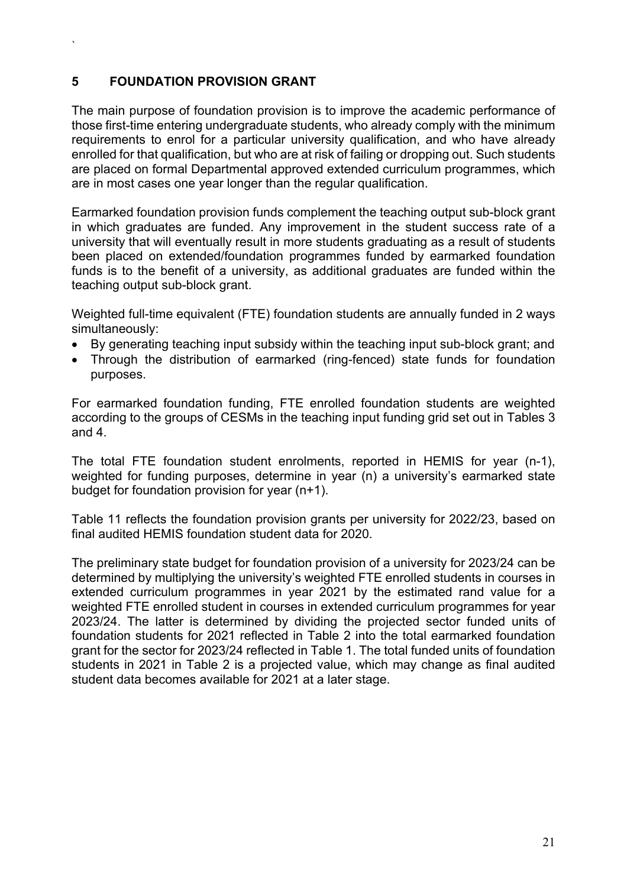#### **5 FOUNDATION PROVISION GRANT**

`

The main purpose of foundation provision is to improve the academic performance of those first-time entering undergraduate students, who already comply with the minimum requirements to enrol for a particular university qualification, and who have already enrolled for that qualification, but who are at risk of failing or dropping out. Such students are placed on formal Departmental approved extended curriculum programmes, which are in most cases one year longer than the regular qualification.

Earmarked foundation provision funds complement the teaching output sub-block grant in which graduates are funded. Any improvement in the student success rate of a university that will eventually result in more students graduating as a result of students been placed on extended/foundation programmes funded by earmarked foundation funds is to the benefit of a university, as additional graduates are funded within the teaching output sub-block grant.

Weighted full-time equivalent (FTE) foundation students are annually funded in 2 ways simultaneously:

- By generating teaching input subsidy within the teaching input sub-block grant; and
- Through the distribution of earmarked (ring-fenced) state funds for foundation purposes.

For earmarked foundation funding, FTE enrolled foundation students are weighted according to the groups of CESMs in the teaching input funding grid set out in Tables 3 and 4.

The total FTE foundation student enrolments, reported in HEMIS for year (n-1), weighted for funding purposes, determine in year (n) a university's earmarked state budget for foundation provision for year (n+1).

Table 11 reflects the foundation provision grants per university for 2022/23, based on final audited HEMIS foundation student data for 2020.

The preliminary state budget for foundation provision of a university for 2023/24 can be determined by multiplying the university's weighted FTE enrolled students in courses in extended curriculum programmes in year 2021 by the estimated rand value for a weighted FTE enrolled student in courses in extended curriculum programmes for year 2023/24. The latter is determined by dividing the projected sector funded units of foundation students for 2021 reflected in Table 2 into the total earmarked foundation grant for the sector for 2023/24 reflected in Table 1. The total funded units of foundation students in 2021 in Table 2 is a projected value, which may change as final audited student data becomes available for 2021 at a later stage.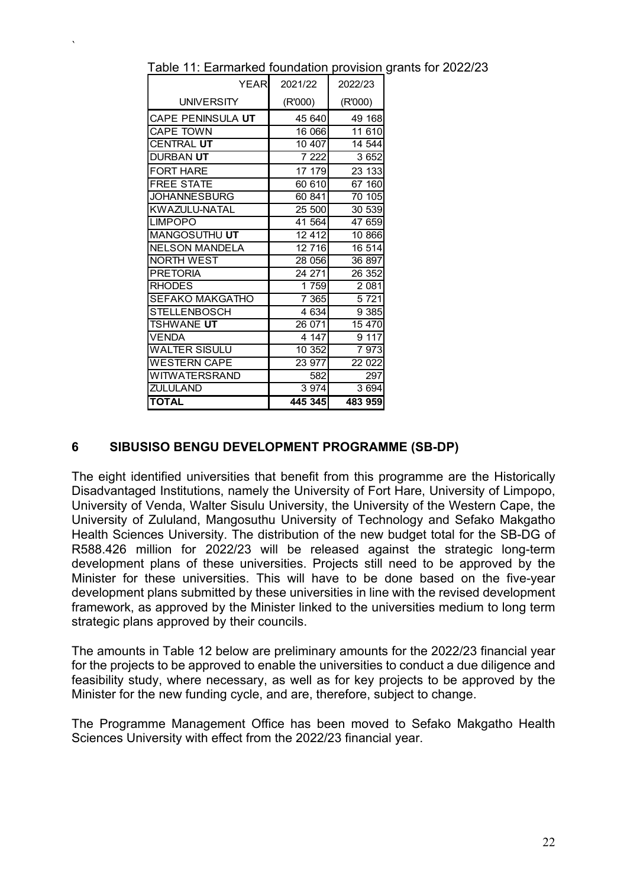| YEARI                 | 2021/22 | 2022/23 |
|-----------------------|---------|---------|
| <b>UNIVERSITY</b>     | (R'000) | (R'000) |
| CAPE PENINSULA UT     | 45 640  | 49 168  |
| <b>CAPE TOWN</b>      | 16 066  | 11 610  |
| CENTRAL UT            | 10 407  | 14 544  |
| DURBAN UT             | 7 2 2 2 | 3 6 5 2 |
| <b>FORT HARE</b>      | 17 179  | 23 133  |
| <b>FREE STATE</b>     | 60 610  | 67 160  |
| JOHANNESBURG          | 60 841  | 70 105  |
| KWAZULU-NATAL         | 25 500  | 30 539  |
| <b>LIMPOPO</b>        | 41 564  | 47 659  |
| MANGOSUTHU UT         | 12412   | 10 866  |
| <b>NELSON MANDELA</b> | 12716   | 16 514  |
| NORTH WEST            | 28 056  | 36 897  |
| <b>PRETORIA</b>       | 24 271  | 26 352  |
| <b>RHODES</b>         | 1759    | 2 0 8 1 |
| SEFAKO MAKGATHO       | 7 3 6 5 | 5721    |
| STELLENBOSCH          | 4 6 3 4 | 9 3 8 5 |
| <b>TSHWANE UT</b>     | 26 071  | 15 470  |
| <b>VENDA</b>          | 4 147   | 9117    |
| <b>WALTER SISULU</b>  | 10 352  | 7973    |
| <b>WESTERN CAPE</b>   | 23 977  | 22 022  |
| WITWATERSRAND         | 582     | 297     |
| ZULULAND              | 3 9 7 4 | 3694    |
| <b>TOTAL</b>          | 445 345 | 483 959 |

`

Table 11: Earmarked foundation provision grants for 2022/23

#### **6 SIBUSISO BENGU DEVELOPMENT PROGRAMME (SB-DP)**

The eight identified universities that benefit from this programme are the Historically Disadvantaged Institutions, namely the University of Fort Hare, University of Limpopo, University of Venda, Walter Sisulu University, the University of the Western Cape, the University of Zululand, Mangosuthu University of Technology and Sefako Makgatho Health Sciences University. The distribution of the new budget total for the SB-DG of R588.426 million for 2022/23 will be released against the strategic long-term development plans of these universities. Projects still need to be approved by the Minister for these universities. This will have to be done based on the five-year development plans submitted by these universities in line with the revised development framework, as approved by the Minister linked to the universities medium to long term strategic plans approved by their councils.

The amounts in Table 12 below are preliminary amounts for the 2022/23 financial year for the projects to be approved to enable the universities to conduct a due diligence and feasibility study, where necessary, as well as for key projects to be approved by the Minister for the new funding cycle, and are, therefore, subject to change.

The Programme Management Office has been moved to Sefako Makgatho Health Sciences University with effect from the 2022/23 financial year.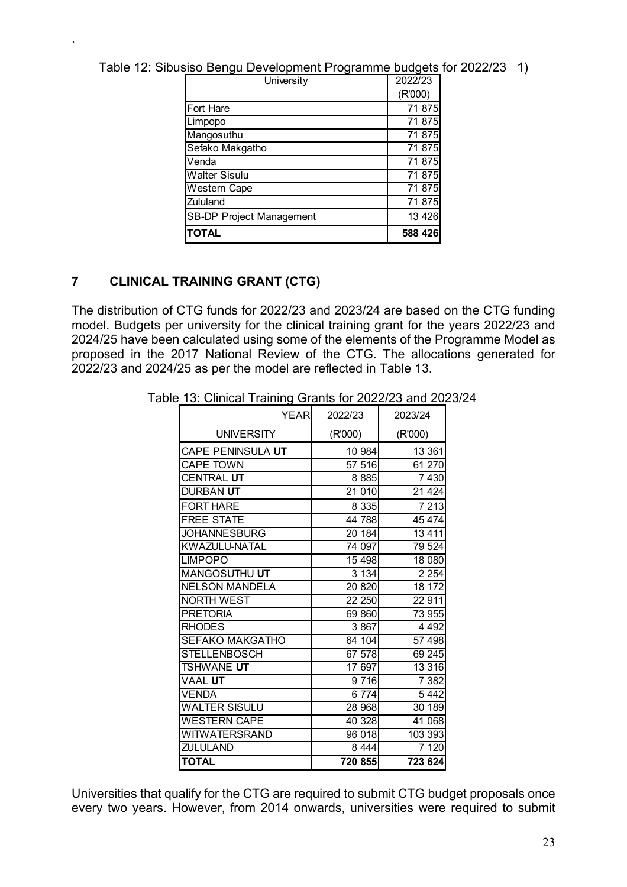| Table 12: Sibusiso Bengu Development Programme budgets for 2022/23 1) |          |  |
|-----------------------------------------------------------------------|----------|--|
| $l$ lnumetu                                                           | פריוררחר |  |

| University                      | 2022/23 |
|---------------------------------|---------|
|                                 | (R'000) |
| <b>Fort Hare</b>                | 71 875  |
| Limpopo                         | 71 875  |
| Mangosuthu                      | 71 875  |
| Sefako Makgatho                 | 71 875  |
| Venda                           | 71 875  |
| <b>Walter Sisulu</b>            | 71 875  |
| <b>Western Cape</b>             | 71 875  |
| Zululand                        | 71 875  |
| <b>SB-DP Project Management</b> | 13 4 26 |
| <b>TOTAL</b>                    | 588 426 |

#### **7 CLINICAL TRAINING GRANT (CTG)**

`

The distribution of CTG funds for 2022/23 and 2023/24 are based on the CTG funding model. Budgets per university for the clinical training grant for the years 2022/23 and 2024/25 have been calculated using some of the elements of the Programme Model as proposed in the 2017 National Review of the CTG. The allocations generated for 2022/23 and 2024/25 as per the model are reflected in Table 13.

| ັ<br><b>YEAR</b>       | 2022/23 | 2023/24 |
|------------------------|---------|---------|
| <b>UNIVERSITY</b>      | (R'000) | (R'000) |
| CAPE PENINSULA UT      | 10 984  | 13 361  |
| <b>CAPE TOWN</b>       | 57 516  | 61 270  |
| <b>CENTRAL UT</b>      | 8885    | 7 4 3 0 |
| DURBAN <b>UT</b>       | 21010   | 21 4 24 |
| <b>FORT HARE</b>       | 8 3 3 5 | 7 2 1 3 |
| <b>FREE STATE</b>      | 44 788  | 45 474  |
| <b>JOHANNESBURG</b>    | 20 184  | 13 4 11 |
| KWAZULU-NATAL          | 74 097  | 79 524  |
| <b>LIMPOPO</b>         | 15 4 98 | 18 080  |
| MANGOSUTHU UT          | 3 1 3 4 | 2 2 5 4 |
| <b>NELSON MANDELA</b>  | 20 8 20 | 18 172  |
| <b>NORTH WEST</b>      | 22 250  | 22 911  |
| <b>PRETORIA</b>        | 69 860  | 73 955  |
| <b>RHODES</b>          | 3 867   | 4 4 9 2 |
| <b>SEFAKO MAKGATHO</b> | 64 104  | 57 498  |
| <b>STELLENBOSCH</b>    | 67 578  | 69 245  |
| <b>TSHWANE UT</b>      | 17 697  | 13 316  |
| <b>VAAL UT</b>         | 9716    | 7 3 8 2 |
| <b>VENDA</b>           | 6774    | 5 4 4 2 |
| <b>WALTER SISULU</b>   | 28 968  | 30 189  |
| <b>WESTERN CAPE</b>    | 40328   | 41 068  |
| WITWATERSRAND          | 96 018  | 103 393 |
| <b>ZULULAND</b>        | 8 4 4 4 | 7 1 20  |
| <b>TOTAL</b>           | 720 855 | 723 624 |

Table 13: Clinical Training Grants for 2022/23 and 2023/24

Universities that qualify for the CTG are required to submit CTG budget proposals once every two years. However, from 2014 onwards, universities were required to submit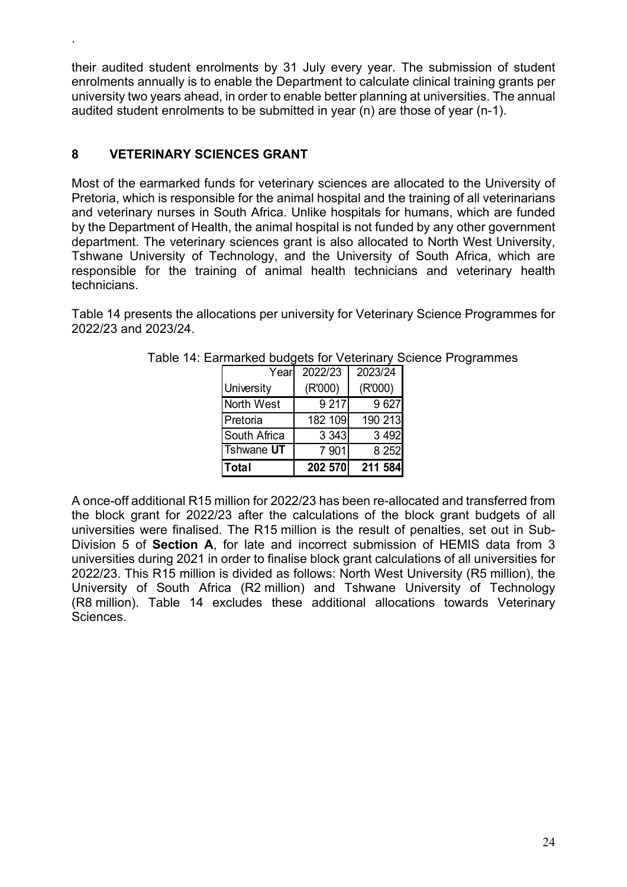their audited student enrolments by 31 July every year. The submission of student enrolments annually is to enable the Department to calculate clinical training grants per university two years ahead, in order to enable better planning at universities. The annual audited student enrolments to be submitted in year (n) are those of year (n-1).

#### **8 VETERINARY SCIENCES GRANT**

`

Most of the earmarked funds for veterinary sciences are allocated to the University of Pretoria, which is responsible for the animal hospital and the training of all veterinarians and veterinary nurses in South Africa. Unlike hospitals for humans, which are funded by the Department of Health, the animal hospital is not funded by any other government department. The veterinary sciences grant is also allocated to North West University, Tshwane University of Technology, and the University of South Africa, which are responsible for the training of animal health technicians and veterinary health technicians.

Table 14 presents the allocations per university for Veterinary Science Programmes for 2022/23 and 2023/24.

| <b>Total</b>      | 202 570 | 211 584 |
|-------------------|---------|---------|
| <b>Tshwane UT</b> | 7 901   | 8 2 5 2 |
| South Africa      | 3 3 4 3 | 3 4 9 2 |
| Pretoria          | 182 109 | 190 213 |
| North West        | 9 217   | 9627    |
| University        | (R'000) | (R'000) |
| Yearl             | 2022/23 | 2023/24 |

Table 14: Earmarked budgets for Veterinary Science Programmes

A once-off additional R15 million for 2022/23 has been re-allocated and transferred from the block grant for 2022/23 after the calculations of the block grant budgets of all universities were finalised. The R15 million is the result of penalties, set out in Sub-Division 5 of **Section A**, for late and incorrect submission of HEMIS data from 3 universities during 2021 in order to finalise block grant calculations of all universities for 2022/23. This R15 million is divided as follows: North West University (R5 million), the University of South Africa (R2 million) and Tshwane University of Technology (R8 million). Table 14 excludes these additional allocations towards Veterinary Sciences.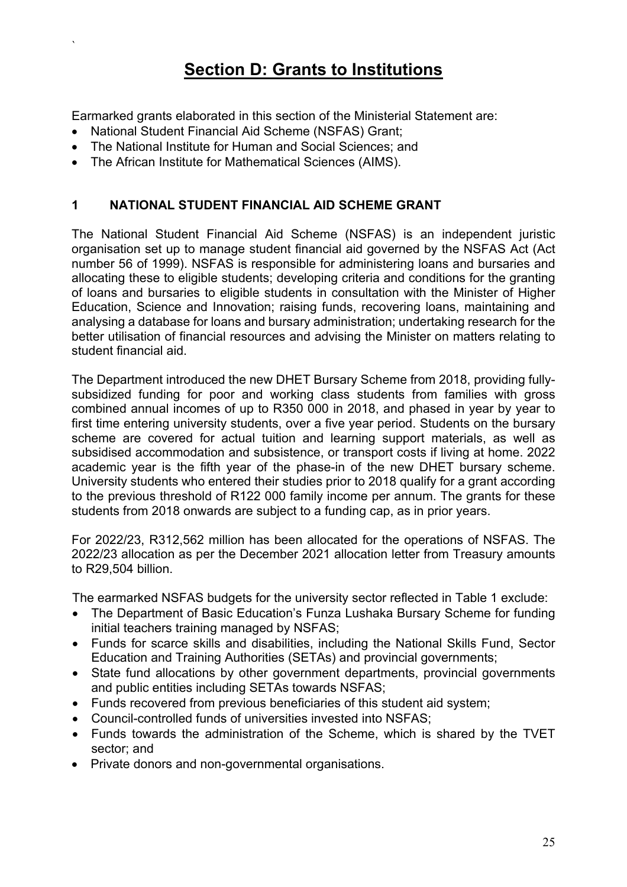## **Section D: Grants to Institutions**

Earmarked grants elaborated in this section of the Ministerial Statement are:

National Student Financial Aid Scheme (NSFAS) Grant;

`

- The National Institute for Human and Social Sciences; and
- The African Institute for Mathematical Sciences (AIMS).

#### **1 NATIONAL STUDENT FINANCIAL AID SCHEME GRANT**

The National Student Financial Aid Scheme (NSFAS) is an independent juristic organisation set up to manage student financial aid governed by the NSFAS Act (Act number 56 of 1999). NSFAS is responsible for administering loans and bursaries and allocating these to eligible students; developing criteria and conditions for the granting of loans and bursaries to eligible students in consultation with the Minister of Higher Education, Science and Innovation; raising funds, recovering loans, maintaining and analysing a database for loans and bursary administration; undertaking research for the better utilisation of financial resources and advising the Minister on matters relating to student financial aid.

The Department introduced the new DHET Bursary Scheme from 2018, providing fullysubsidized funding for poor and working class students from families with gross combined annual incomes of up to R350 000 in 2018, and phased in year by year to first time entering university students, over a five year period. Students on the bursary scheme are covered for actual tuition and learning support materials, as well as subsidised accommodation and subsistence, or transport costs if living at home. 2022 academic year is the fifth year of the phase-in of the new DHET bursary scheme. University students who entered their studies prior to 2018 qualify for a grant according to the previous threshold of R122 000 family income per annum. The grants for these students from 2018 onwards are subject to a funding cap, as in prior years.

For 2022/23, R312,562 million has been allocated for the operations of NSFAS. The 2022/23 allocation as per the December 2021 allocation letter from Treasury amounts to R29,504 billion.

The earmarked NSFAS budgets for the university sector reflected in Table 1 exclude:

- The Department of Basic Education's Funza Lushaka Bursary Scheme for funding initial teachers training managed by NSFAS;
- Funds for scarce skills and disabilities, including the National Skills Fund, Sector Education and Training Authorities (SETAs) and provincial governments;
- State fund allocations by other government departments, provincial governments and public entities including SETAs towards NSFAS;
- Funds recovered from previous beneficiaries of this student aid system;
- Council-controlled funds of universities invested into NSFAS;
- Funds towards the administration of the Scheme, which is shared by the TVET sector; and
- Private donors and non-governmental organisations.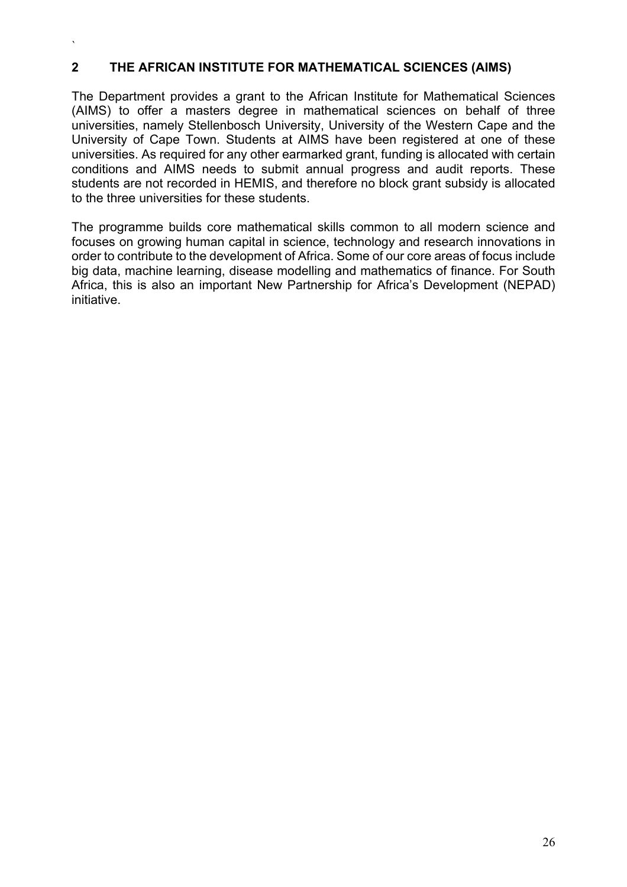#### **2 THE AFRICAN INSTITUTE FOR MATHEMATICAL SCIENCES (AIMS)**

 $\overline{\phantom{a}}$ 

The Department provides a grant to the African Institute for Mathematical Sciences (AIMS) to offer a masters degree in mathematical sciences on behalf of three universities, namely Stellenbosch University, University of the Western Cape and the University of Cape Town. Students at AIMS have been registered at one of these universities. As required for any other earmarked grant, funding is allocated with certain conditions and AIMS needs to submit annual progress and audit reports. These students are not recorded in HEMIS, and therefore no block grant subsidy is allocated to the three universities for these students.

The programme builds core mathematical skills common to all modern science and focuses on growing human capital in science, technology and research innovations in order to contribute to the development of Africa. Some of our core areas of focus include big data, machine learning, disease modelling and mathematics of finance. For South Africa, this is also an important New Partnership for Africa's Development (NEPAD) initiative.